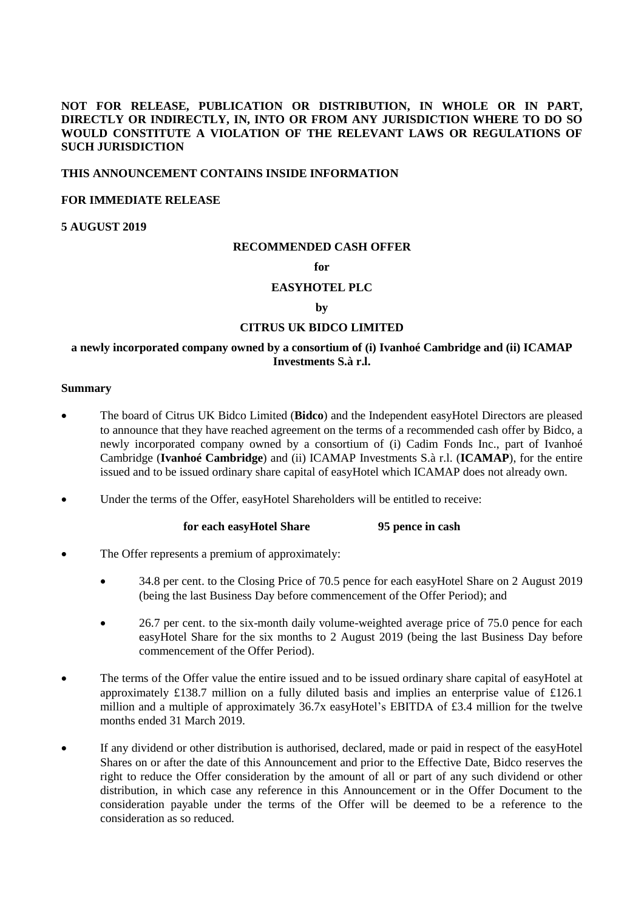# **NOT FOR RELEASE, PUBLICATION OR DISTRIBUTION, IN WHOLE OR IN PART, DIRECTLY OR INDIRECTLY, IN, INTO OR FROM ANY JURISDICTION WHERE TO DO SO WOULD CONSTITUTE A VIOLATION OF THE RELEVANT LAWS OR REGULATIONS OF SUCH JURISDICTION**

#### **THIS ANNOUNCEMENT CONTAINS INSIDE INFORMATION**

### **FOR IMMEDIATE RELEASE**

### **5 AUGUST 2019**

#### **RECOMMENDED CASH OFFER**

### **for**

### **EASYHOTEL PLC**

### **by**

### **CITRUS UK BIDCO LIMITED**

# **a newly incorporated company owned by a consortium of (i) Ivanhoé Cambridge and (ii) ICAMAP Investments S.à r.l.**

#### **Summary**

- The board of Citrus UK Bidco Limited (**Bidco**) and the Independent easyHotel Directors are pleased to announce that they have reached agreement on the terms of a recommended cash offer by Bidco, a newly incorporated company owned by a consortium of (i) Cadim Fonds Inc., part of Ivanhoé Cambridge (**Ivanhoé Cambridge**) and (ii) ICAMAP Investments S.à r.l. (**ICAMAP**), for the entire issued and to be issued ordinary share capital of easyHotel which ICAMAP does not already own.
- Under the terms of the Offer, easyHotel Shareholders will be entitled to receive:

#### **for each easyHotel Share 95 pence in cash**

- The Offer represents a premium of approximately:
	- 34.8 per cent. to the Closing Price of 70.5 pence for each easyHotel Share on 2 August 2019 (being the last Business Day before commencement of the Offer Period); and
	- 26.7 per cent. to the six-month daily volume-weighted average price of 75.0 pence for each easyHotel Share for the six months to 2 August 2019 (being the last Business Day before commencement of the Offer Period).
- The terms of the Offer value the entire issued and to be issued ordinary share capital of easyHotel at approximately £138.7 million on a fully diluted basis and implies an enterprise value of £126.1 million and a multiple of approximately 36.7x easyHotel's EBITDA of £3.4 million for the twelve months ended 31 March 2019.
- If any dividend or other distribution is authorised, declared, made or paid in respect of the easyHotel Shares on or after the date of this Announcement and prior to the Effective Date, Bidco reserves the right to reduce the Offer consideration by the amount of all or part of any such dividend or other distribution, in which case any reference in this Announcement or in the Offer Document to the consideration payable under the terms of the Offer will be deemed to be a reference to the consideration as so reduced.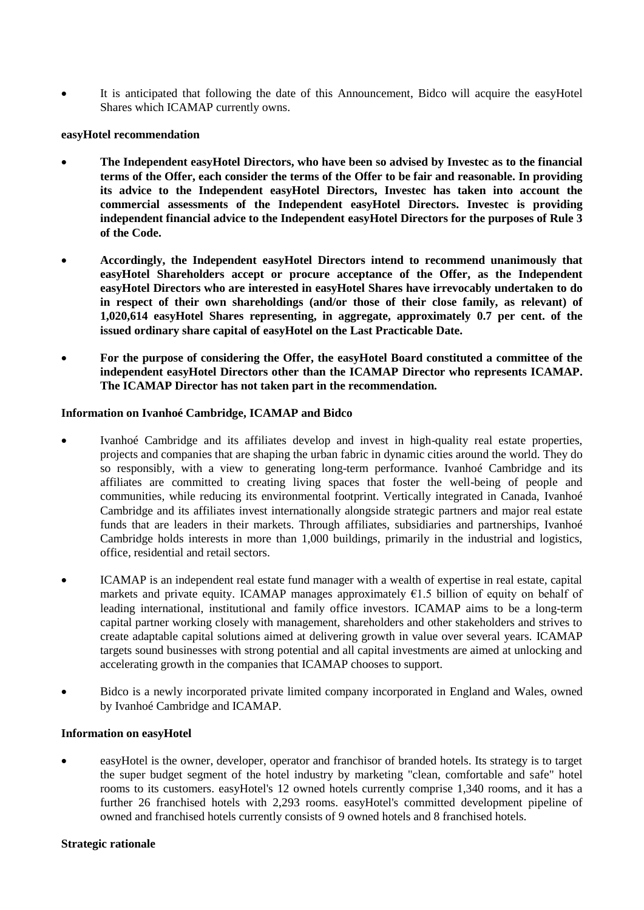It is anticipated that following the date of this Announcement, Bidco will acquire the easyHotel Shares which ICAMAP currently owns.

### **easyHotel recommendation**

- **The Independent easyHotel Directors, who have been so advised by Investec as to the financial terms of the Offer, each consider the terms of the Offer to be fair and reasonable. In providing its advice to the Independent easyHotel Directors, Investec has taken into account the commercial assessments of the Independent easyHotel Directors. Investec is providing independent financial advice to the Independent easyHotel Directors for the purposes of Rule 3 of the Code.**
- **Accordingly, the Independent easyHotel Directors intend to recommend unanimously that easyHotel Shareholders accept or procure acceptance of the Offer, as the Independent easyHotel Directors who are interested in easyHotel Shares have irrevocably undertaken to do in respect of their own shareholdings (and/or those of their close family, as relevant) of 1,020,614 easyHotel Shares representing, in aggregate, approximately 0.7 per cent. of the issued ordinary share capital of easyHotel on the Last Practicable Date.**
- **For the purpose of considering the Offer, the easyHotel Board constituted a committee of the independent easyHotel Directors other than the ICAMAP Director who represents ICAMAP. The ICAMAP Director has not taken part in the recommendation.**

### **Information on Ivanhoé Cambridge, ICAMAP and Bidco**

- Ivanhoé Cambridge and its affiliates develop and invest in high-quality real estate properties, projects and companies that are shaping the urban fabric in dynamic cities around the world. They do so responsibly, with a view to generating long-term performance. Ivanhoé Cambridge and its affiliates are committed to creating living spaces that foster the well-being of people and communities, while reducing its environmental footprint. Vertically integrated in Canada, Ivanhoé Cambridge and its affiliates invest internationally alongside strategic partners and major real estate funds that are leaders in their markets. Through affiliates, subsidiaries and partnerships, Ivanhoé Cambridge holds interests in more than 1,000 buildings, primarily in the industrial and logistics, office, residential and retail sectors.
- ICAMAP is an independent real estate fund manager with a wealth of expertise in real estate, capital markets and private equity. ICAMAP manages approximately  $\epsilon$ 1.5 billion of equity on behalf of leading international, institutional and family office investors. ICAMAP aims to be a long-term capital partner working closely with management, shareholders and other stakeholders and strives to create adaptable capital solutions aimed at delivering growth in value over several years. ICAMAP targets sound businesses with strong potential and all capital investments are aimed at unlocking and accelerating growth in the companies that ICAMAP chooses to support.
- Bidco is a newly incorporated private limited company incorporated in England and Wales, owned by Ivanhoé Cambridge and ICAMAP.

#### **Information on easyHotel**

 easyHotel is the owner, developer, operator and franchisor of branded hotels. Its strategy is to target the super budget segment of the hotel industry by marketing "clean, comfortable and safe" hotel rooms to its customers. easyHotel's 12 owned hotels currently comprise 1,340 rooms, and it has a further 26 franchised hotels with 2,293 rooms. easyHotel's committed development pipeline of owned and franchised hotels currently consists of 9 owned hotels and 8 franchised hotels.

#### **Strategic rationale**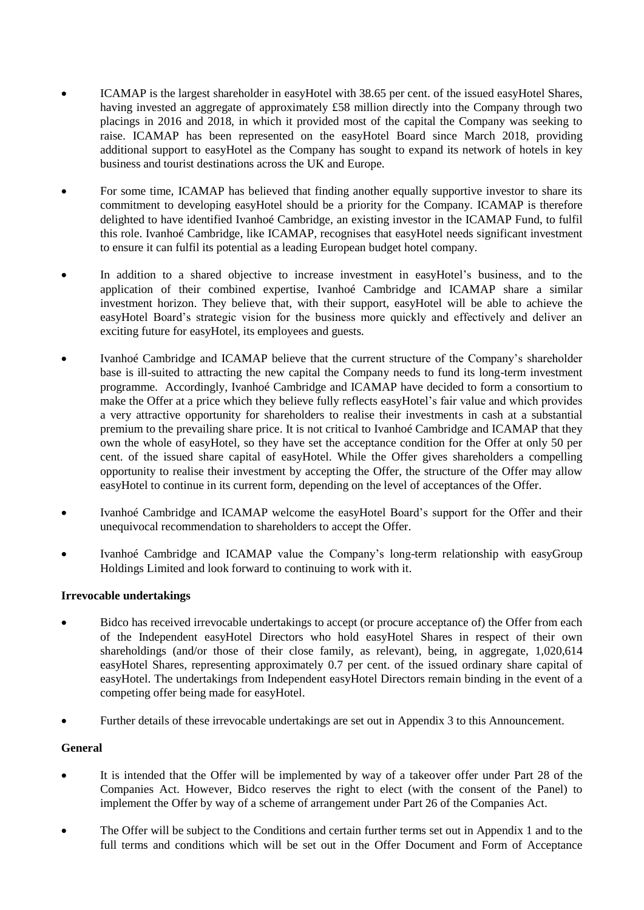- ICAMAP is the largest shareholder in easyHotel with 38.65 per cent. of the issued easyHotel Shares, having invested an aggregate of approximately £58 million directly into the Company through two placings in 2016 and 2018, in which it provided most of the capital the Company was seeking to raise. ICAMAP has been represented on the easyHotel Board since March 2018, providing additional support to easyHotel as the Company has sought to expand its network of hotels in key business and tourist destinations across the UK and Europe.
- For some time, ICAMAP has believed that finding another equally supportive investor to share its commitment to developing easyHotel should be a priority for the Company. ICAMAP is therefore delighted to have identified Ivanhoé Cambridge, an existing investor in the ICAMAP Fund, to fulfil this role. Ivanhoé Cambridge, like ICAMAP, recognises that easyHotel needs significant investment to ensure it can fulfil its potential as a leading European budget hotel company.
- In addition to a shared objective to increase investment in easyHotel's business, and to the application of their combined expertise, Ivanhoé Cambridge and ICAMAP share a similar investment horizon. They believe that, with their support, easyHotel will be able to achieve the easyHotel Board's strategic vision for the business more quickly and effectively and deliver an exciting future for easyHotel, its employees and guests.
- Ivanhoé Cambridge and ICAMAP believe that the current structure of the Company's shareholder base is ill-suited to attracting the new capital the Company needs to fund its long-term investment programme. Accordingly, Ivanhoé Cambridge and ICAMAP have decided to form a consortium to make the Offer at a price which they believe fully reflects easyHotel's fair value and which provides a very attractive opportunity for shareholders to realise their investments in cash at a substantial premium to the prevailing share price. It is not critical to Ivanhoé Cambridge and ICAMAP that they own the whole of easyHotel, so they have set the acceptance condition for the Offer at only 50 per cent. of the issued share capital of easyHotel. While the Offer gives shareholders a compelling opportunity to realise their investment by accepting the Offer, the structure of the Offer may allow easyHotel to continue in its current form, depending on the level of acceptances of the Offer.
- Ivanhoé Cambridge and ICAMAP welcome the easyHotel Board's support for the Offer and their unequivocal recommendation to shareholders to accept the Offer.
- Ivanhoé Cambridge and ICAMAP value the Company's long-term relationship with easyGroup Holdings Limited and look forward to continuing to work with it.

### **Irrevocable undertakings**

- Bidco has received irrevocable undertakings to accept (or procure acceptance of) the Offer from each of the Independent easyHotel Directors who hold easyHotel Shares in respect of their own shareholdings (and/or those of their close family, as relevant), being, in aggregate, 1,020,614 easyHotel Shares, representing approximately 0.7 per cent. of the issued ordinary share capital of easyHotel. The undertakings from Independent easyHotel Directors remain binding in the event of a competing offer being made for easyHotel.
- Further details of these irrevocable undertakings are set out in [Appendix 3](#page-39-0) to this Announcement.

# **General**

- It is intended that the Offer will be implemented by way of a takeover offer under Part 28 of the Companies Act. However, Bidco reserves the right to elect (with the consent of the Panel) to implement the Offer by way of a scheme of arrangement under Part 26 of the Companies Act.
- The Offer will be subject to the Conditions and certain further terms set out in [Appendix 1](#page-26-0) and to the full terms and conditions which will be set out in the Offer Document and Form of Acceptance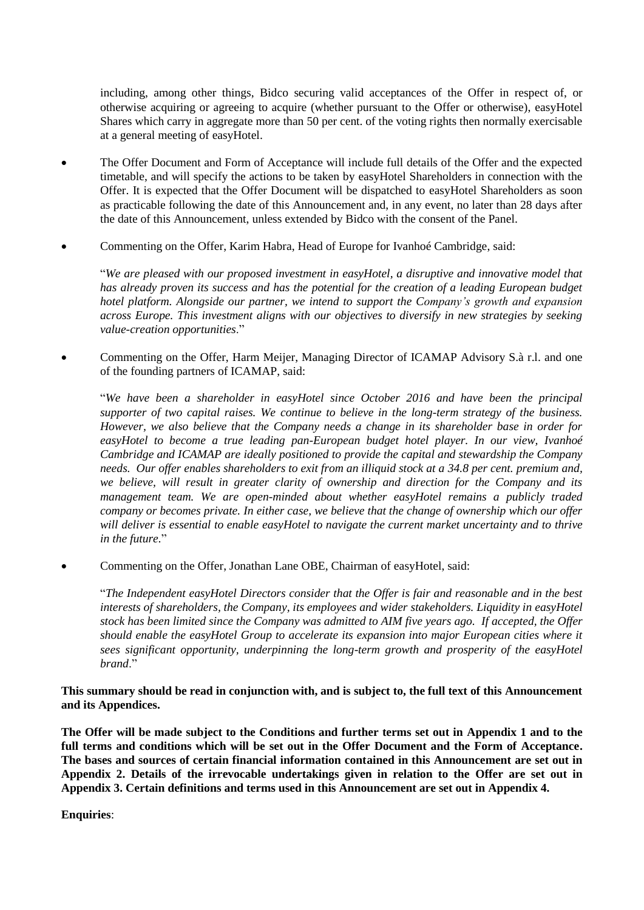including, among other things, Bidco securing valid acceptances of the Offer in respect of, or otherwise acquiring or agreeing to acquire (whether pursuant to the Offer or otherwise), easyHotel Shares which carry in aggregate more than 50 per cent. of the voting rights then normally exercisable at a general meeting of easyHotel.

- The Offer Document and Form of Acceptance will include full details of the Offer and the expected timetable, and will specify the actions to be taken by easyHotel Shareholders in connection with the Offer. It is expected that the Offer Document will be dispatched to easyHotel Shareholders as soon as practicable following the date of this Announcement and, in any event, no later than 28 days after the date of this Announcement, unless extended by Bidco with the consent of the Panel.
- Commenting on the Offer, Karim Habra, Head of Europe for Ivanhoé Cambridge, said:

"*We are pleased with our proposed investment in easyHotel, a disruptive and innovative model that has already proven its success and has the potential for the creation of a leading European budget hotel platform. Alongside our partner, we intend to support the Company's growth and expansion across Europe. This investment aligns with our objectives to diversify in new strategies by seeking value-creation opportunities*."

 Commenting on the Offer, Harm Meijer, Managing Director of ICAMAP Advisory S.à r.l. and one of the founding partners of ICAMAP, said:

"*We have been a shareholder in easyHotel since October 2016 and have been the principal supporter of two capital raises. We continue to believe in the long-term strategy of the business. However, we also believe that the Company needs a change in its shareholder base in order for easyHotel to become a true leading pan-European budget hotel player. In our view, Ivanhoé Cambridge and ICAMAP are ideally positioned to provide the capital and stewardship the Company needs. Our offer enables shareholders to exit from an illiquid stock at a 34.8 per cent. premium and, we believe, will result in greater clarity of ownership and direction for the Company and its management team. We are open-minded about whether easyHotel remains a publicly traded company or becomes private. In either case, we believe that the change of ownership which our offer will deliver is essential to enable easyHotel to navigate the current market uncertainty and to thrive in the future.*"

Commenting on the Offer, Jonathan Lane OBE, Chairman of easyHotel, said:

"*The Independent easyHotel Directors consider that the Offer is fair and reasonable and in the best interests of shareholders, the Company, its employees and wider stakeholders. Liquidity in easyHotel stock has been limited since the Company was admitted to AIM five years ago. If accepted, the Offer should enable the easyHotel Group to accelerate its expansion into major European cities where it sees significant opportunity, underpinning the long-term growth and prosperity of the easyHotel brand*."

**This summary should be read in conjunction with, and is subject to, the full text of this Announcement and its Appendices.**

**The Offer will be made subject to the Conditions and further terms set out in [Appendix 1](#page-26-0) and to the full terms and conditions which will be set out in the Offer Document and the Form of Acceptance. The bases and sources of certain financial information contained in this Announcement are set out in [Appendix 2.](#page-38-0) Details of the irrevocable undertakings given in relation to the Offer are set out in [Appendix 3.](#page-39-0) Certain definitions and terms used in this Announcement are set out in [Appendix 4.](#page-40-0)**

**Enquiries**: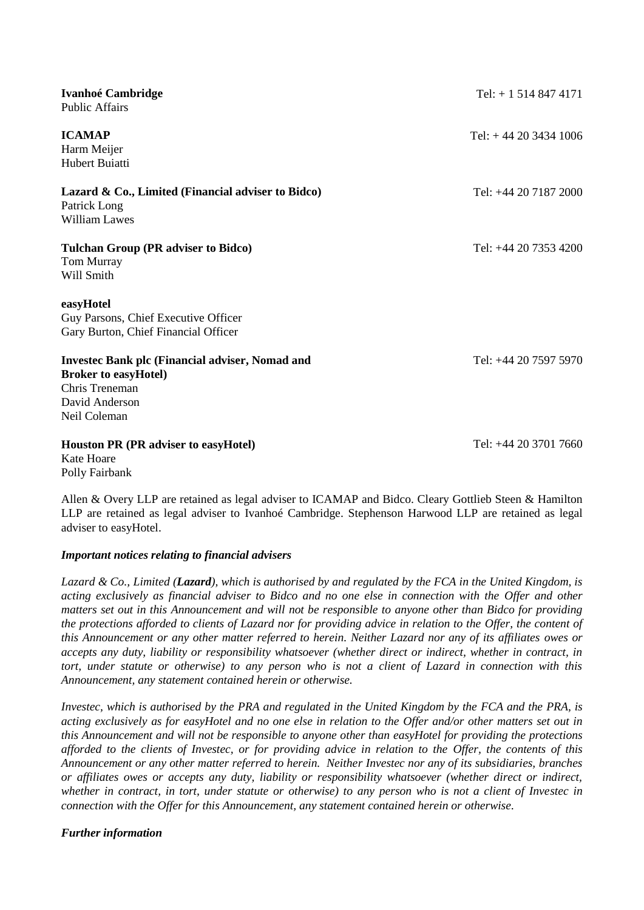| <b>Ivanhoé Cambridge</b><br><b>Public Affairs</b>                                                                                         | $Tel: + 15148474171$    |
|-------------------------------------------------------------------------------------------------------------------------------------------|-------------------------|
| <b>ICAMAP</b><br>Harm Meijer<br>Hubert Buiatti                                                                                            | Tel: $+442034341006$    |
| Lazard & Co., Limited (Financial adviser to Bidco)<br>Patrick Long<br><b>William Lawes</b>                                                | Tel: +44 20 7187 2000   |
| <b>Tulchan Group (PR adviser to Bidco)</b><br>Tom Murray<br>Will Smith                                                                    | Tel: $+44$ 20 7353 4200 |
| easyHotel<br>Guy Parsons, Chief Executive Officer<br>Gary Burton, Chief Financial Officer                                                 |                         |
| <b>Invested Bank plc (Financial adviser, Nomad and</b><br><b>Broker to easyHotel)</b><br>Chris Treneman<br>David Anderson<br>Neil Coleman | Tel: +44 20 7597 5970   |
| <b>Houston PR (PR adviser to easyHotel)</b>                                                                                               | Tel: +44 20 3701 7660   |

Kate Hoare Polly Fairbank

Allen & Overy LLP are retained as legal adviser to ICAMAP and Bidco. Cleary Gottlieb Steen & Hamilton LLP are retained as legal adviser to Ivanhoé Cambridge. Stephenson Harwood LLP are retained as legal adviser to easyHotel.

### *Important notices relating to financial advisers*

*Lazard & Co., Limited (Lazard), which is authorised by and regulated by the FCA in the United Kingdom, is acting exclusively as financial adviser to Bidco and no one else in connection with the Offer and other matters set out in this Announcement and will not be responsible to anyone other than Bidco for providing the protections afforded to clients of Lazard nor for providing advice in relation to the Offer, the content of this Announcement or any other matter referred to herein. Neither Lazard nor any of its affiliates owes or accepts any duty, liability or responsibility whatsoever (whether direct or indirect, whether in contract, in tort, under statute or otherwise) to any person who is not a client of Lazard in connection with this Announcement, any statement contained herein or otherwise.*

*Investec, which is authorised by the PRA and regulated in the United Kingdom by the FCA and the PRA, is acting exclusively as for easyHotel and no one else in relation to the Offer and/or other matters set out in this Announcement and will not be responsible to anyone other than easyHotel for providing the protections afforded to the clients of Investec, or for providing advice in relation to the Offer, the contents of this Announcement or any other matter referred to herein. Neither Investec nor any of its subsidiaries, branches or affiliates owes or accepts any duty, liability or responsibility whatsoever (whether direct or indirect, whether in contract, in tort, under statute or otherwise) to any person who is not a client of Investec in connection with the Offer for this Announcement, any statement contained herein or otherwise.*

# *Further information*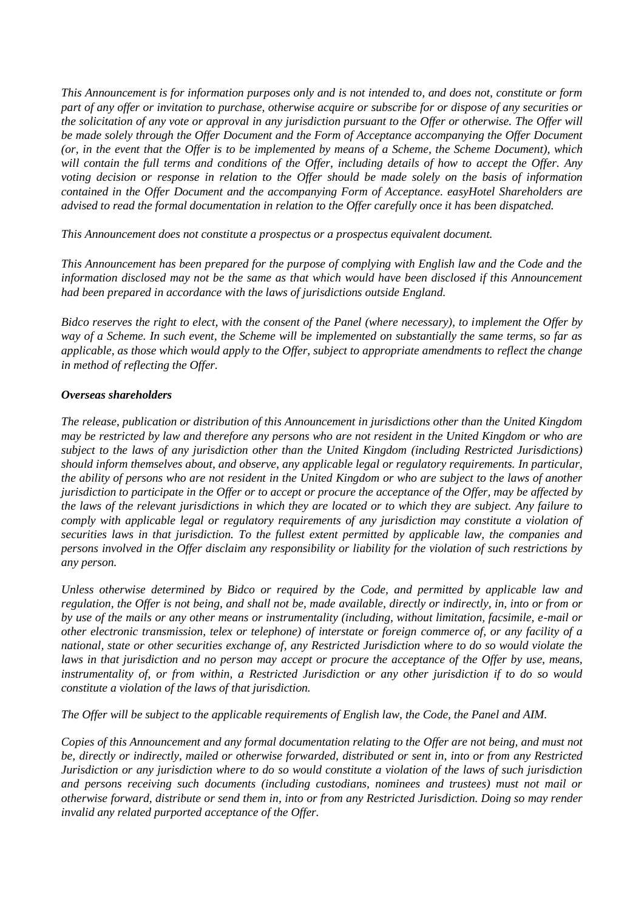*This Announcement is for information purposes only and is not intended to, and does not, constitute or form part of any offer or invitation to purchase, otherwise acquire or subscribe for or dispose of any securities or the solicitation of any vote or approval in any jurisdiction pursuant to the Offer or otherwise. The Offer will be made solely through the Offer Document and the Form of Acceptance accompanying the Offer Document (or, in the event that the Offer is to be implemented by means of a Scheme, the Scheme Document), which will contain the full terms and conditions of the Offer, including details of how to accept the Offer. Any voting decision or response in relation to the Offer should be made solely on the basis of information contained in the Offer Document and the accompanying Form of Acceptance. easyHotel Shareholders are advised to read the formal documentation in relation to the Offer carefully once it has been dispatched.*

*This Announcement does not constitute a prospectus or a prospectus equivalent document.*

*This Announcement has been prepared for the purpose of complying with English law and the Code and the information disclosed may not be the same as that which would have been disclosed if this Announcement had been prepared in accordance with the laws of jurisdictions outside England.*

*Bidco reserves the right to elect, with the consent of the Panel (where necessary), to implement the Offer by way of a Scheme. In such event, the Scheme will be implemented on substantially the same terms, so far as applicable, as those which would apply to the Offer, subject to appropriate amendments to reflect the change in method of reflecting the Offer.*

# *Overseas shareholders*

*The release, publication or distribution of this Announcement in jurisdictions other than the United Kingdom may be restricted by law and therefore any persons who are not resident in the United Kingdom or who are subject to the laws of any jurisdiction other than the United Kingdom (including Restricted Jurisdictions) should inform themselves about, and observe, any applicable legal or regulatory requirements. In particular, the ability of persons who are not resident in the United Kingdom or who are subject to the laws of another jurisdiction to participate in the Offer or to accept or procure the acceptance of the Offer, may be affected by the laws of the relevant jurisdictions in which they are located or to which they are subject. Any failure to comply with applicable legal or regulatory requirements of any jurisdiction may constitute a violation of securities laws in that jurisdiction. To the fullest extent permitted by applicable law, the companies and persons involved in the Offer disclaim any responsibility or liability for the violation of such restrictions by any person.*

*Unless otherwise determined by Bidco or required by the Code, and permitted by applicable law and regulation, the Offer is not being, and shall not be, made available, directly or indirectly, in, into or from or by use of the mails or any other means or instrumentality (including, without limitation, facsimile, e-mail or other electronic transmission, telex or telephone) of interstate or foreign commerce of, or any facility of a national, state or other securities exchange of, any Restricted Jurisdiction where to do so would violate the laws in that jurisdiction and no person may accept or procure the acceptance of the Offer by use, means, instrumentality of, or from within, a Restricted Jurisdiction or any other jurisdiction if to do so would constitute a violation of the laws of that jurisdiction.*

*The Offer will be subject to the applicable requirements of English law, the Code, the Panel and AIM.*

*Copies of this Announcement and any formal documentation relating to the Offer are not being, and must not be, directly or indirectly, mailed or otherwise forwarded, distributed or sent in, into or from any Restricted Jurisdiction or any jurisdiction where to do so would constitute a violation of the laws of such jurisdiction and persons receiving such documents (including custodians, nominees and trustees) must not mail or otherwise forward, distribute or send them in, into or from any Restricted Jurisdiction. Doing so may render invalid any related purported acceptance of the Offer.*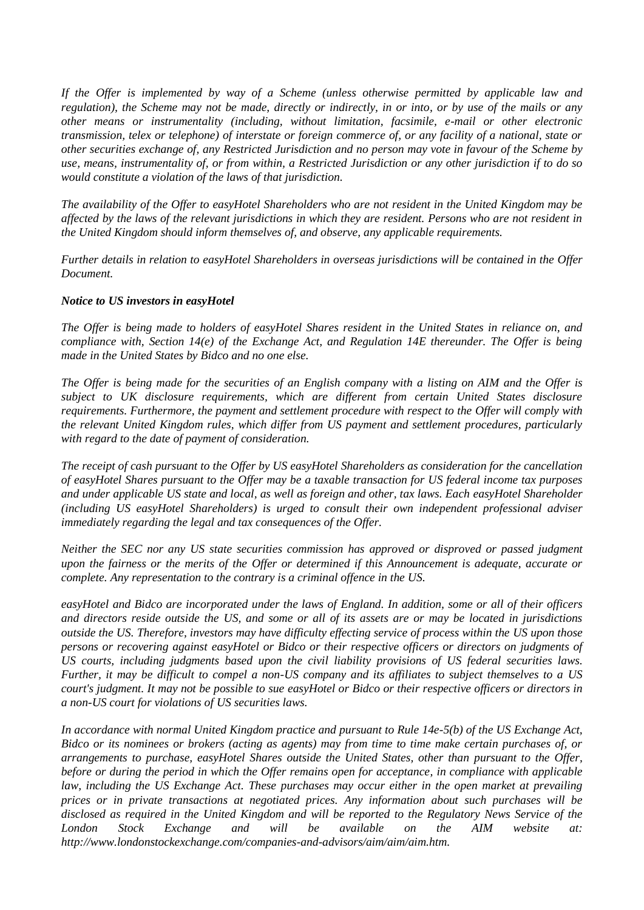*If the Offer is implemented by way of a Scheme (unless otherwise permitted by applicable law and regulation), the Scheme may not be made, directly or indirectly, in or into, or by use of the mails or any other means or instrumentality (including, without limitation, facsimile, e-mail or other electronic transmission, telex or telephone) of interstate or foreign commerce of, or any facility of a national, state or other securities exchange of, any Restricted Jurisdiction and no person may vote in favour of the Scheme by use, means, instrumentality of, or from within, a Restricted Jurisdiction or any other jurisdiction if to do so would constitute a violation of the laws of that jurisdiction.*

*The availability of the Offer to easyHotel Shareholders who are not resident in the United Kingdom may be affected by the laws of the relevant jurisdictions in which they are resident. Persons who are not resident in the United Kingdom should inform themselves of, and observe, any applicable requirements.*

*Further details in relation to easyHotel Shareholders in overseas jurisdictions will be contained in the Offer Document.*

### *Notice to US investors in easyHotel*

*The Offer is being made to holders of easyHotel Shares resident in the United States in reliance on, and compliance with, Section 14(e) of the Exchange Act, and Regulation 14E thereunder. The Offer is being made in the United States by Bidco and no one else.*

*The Offer is being made for the securities of an English company with a listing on AIM and the Offer is subject to UK disclosure requirements, which are different from certain United States disclosure requirements. Furthermore, the payment and settlement procedure with respect to the Offer will comply with the relevant United Kingdom rules, which differ from US payment and settlement procedures, particularly with regard to the date of payment of consideration.*

*The receipt of cash pursuant to the Offer by US easyHotel Shareholders as consideration for the cancellation of easyHotel Shares pursuant to the Offer may be a taxable transaction for US federal income tax purposes and under applicable US state and local, as well as foreign and other, tax laws. Each easyHotel Shareholder (including US easyHotel Shareholders) is urged to consult their own independent professional adviser immediately regarding the legal and tax consequences of the Offer.*

*Neither the SEC nor any US state securities commission has approved or disproved or passed judgment upon the fairness or the merits of the Offer or determined if this Announcement is adequate, accurate or complete. Any representation to the contrary is a criminal offence in the US.*

*easyHotel and Bidco are incorporated under the laws of England. In addition, some or all of their officers and directors reside outside the US, and some or all of its assets are or may be located in jurisdictions outside the US. Therefore, investors may have difficulty effecting service of process within the US upon those persons or recovering against easyHotel or Bidco or their respective officers or directors on judgments of US courts, including judgments based upon the civil liability provisions of US federal securities laws. Further, it may be difficult to compel a non-US company and its affiliates to subject themselves to a US court's judgment. It may not be possible to sue easyHotel or Bidco or their respective officers or directors in a non-US court for violations of US securities laws.*

*In accordance with normal United Kingdom practice and pursuant to Rule 14e-5(b) of the US Exchange Act, Bidco or its nominees or brokers (acting as agents) may from time to time make certain purchases of, or arrangements to purchase, easyHotel Shares outside the United States, other than pursuant to the Offer, before or during the period in which the Offer remains open for acceptance, in compliance with applicable law, including the US Exchange Act. These purchases may occur either in the open market at prevailing prices or in private transactions at negotiated prices. Any information about such purchases will be disclosed as required in the United Kingdom and will be reported to the Regulatory News Service of the London Stock Exchange and will be available on the AIM website at: http://www.londonstockexchange.com/companies-and-advisors/aim/aim/aim.htm.*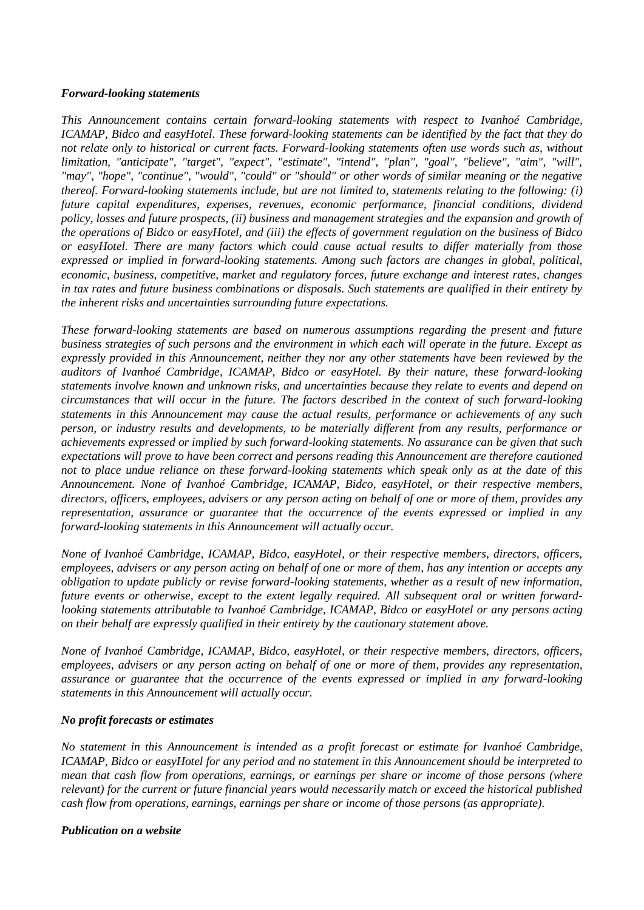### *Forward-looking statements*

*This Announcement contains certain forward-looking statements with respect to Ivanhoé Cambridge, ICAMAP, Bidco and easyHotel. These forward-looking statements can be identified by the fact that they do not relate only to historical or current facts. Forward-looking statements often use words such as, without limitation, "anticipate", "target", "expect", "estimate", "intend", "plan", "goal", "believe", "aim", "will", "may", "hope", "continue", "would", "could" or "should" or other words of similar meaning or the negative thereof. Forward-looking statements include, but are not limited to, statements relating to the following: (i) future capital expenditures, expenses, revenues, economic performance, financial conditions, dividend policy, losses and future prospects, (ii) business and management strategies and the expansion and growth of the operations of Bidco or easyHotel, and (iii) the effects of government regulation on the business of Bidco or easyHotel. There are many factors which could cause actual results to differ materially from those expressed or implied in forward-looking statements. Among such factors are changes in global, political, economic, business, competitive, market and regulatory forces, future exchange and interest rates, changes in tax rates and future business combinations or disposals. Such statements are qualified in their entirety by the inherent risks and uncertainties surrounding future expectations.*

*These forward-looking statements are based on numerous assumptions regarding the present and future business strategies of such persons and the environment in which each will operate in the future. Except as expressly provided in this Announcement, neither they nor any other statements have been reviewed by the auditors of Ivanhoé Cambridge, ICAMAP, Bidco or easyHotel. By their nature, these forward-looking statements involve known and unknown risks, and uncertainties because they relate to events and depend on circumstances that will occur in the future. The factors described in the context of such forward-looking statements in this Announcement may cause the actual results, performance or achievements of any such person, or industry results and developments, to be materially different from any results, performance or achievements expressed or implied by such forward-looking statements. No assurance can be given that such expectations will prove to have been correct and persons reading this Announcement are therefore cautioned not to place undue reliance on these forward-looking statements which speak only as at the date of this Announcement. None of Ivanhoé Cambridge, ICAMAP, Bidco, easyHotel, or their respective members, directors, officers, employees, advisers or any person acting on behalf of one or more of them, provides any representation, assurance or guarantee that the occurrence of the events expressed or implied in any forward-looking statements in this Announcement will actually occur.* 

*None of Ivanhoé Cambridge, ICAMAP, Bidco, easyHotel, or their respective members, directors, officers, employees, advisers or any person acting on behalf of one or more of them, has any intention or accepts any obligation to update publicly or revise forward-looking statements, whether as a result of new information, future events or otherwise, except to the extent legally required. All subsequent oral or written forwardlooking statements attributable to Ivanhoé Cambridge, ICAMAP, Bidco or easyHotel or any persons acting on their behalf are expressly qualified in their entirety by the cautionary statement above.*

*None of Ivanhoé Cambridge, ICAMAP, Bidco, easyHotel, or their respective members, directors, officers, employees, advisers or any person acting on behalf of one or more of them, provides any representation, assurance or guarantee that the occurrence of the events expressed or implied in any forward-looking statements in this Announcement will actually occur.*

### *No profit forecasts or estimates*

*No statement in this Announcement is intended as a profit forecast or estimate for Ivanhoé Cambridge, ICAMAP, Bidco or easyHotel for any period and no statement in this Announcement should be interpreted to mean that cash flow from operations, earnings, or earnings per share or income of those persons (where relevant) for the current or future financial years would necessarily match or exceed the historical published cash flow from operations, earnings, earnings per share or income of those persons (as appropriate).*

#### *Publication on a website*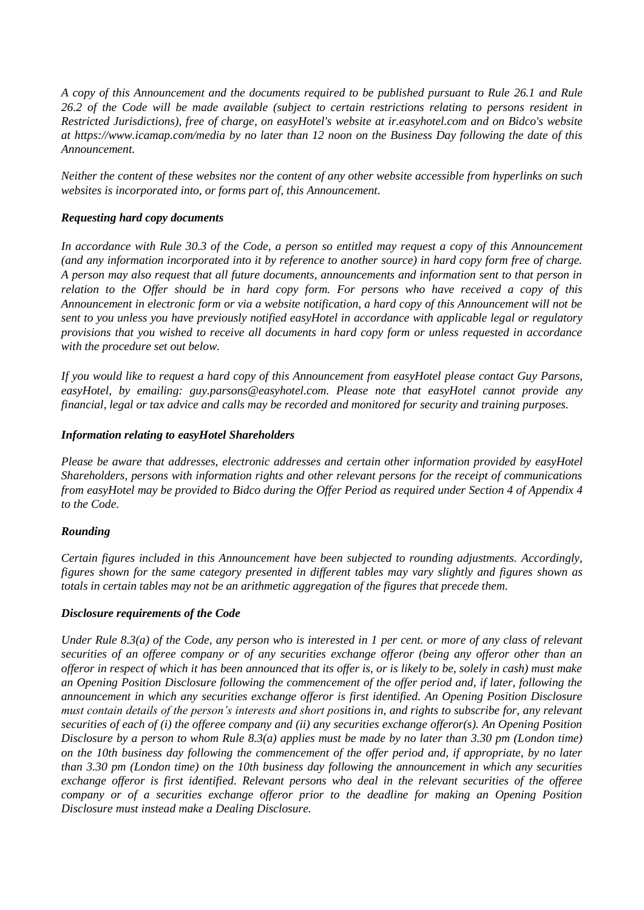*A copy of this Announcement and the documents required to be published pursuant to Rule 26.1 and Rule 26.2 of the Code will be made available (subject to certain restrictions relating to persons resident in Restricted Jurisdictions), free of charge, on easyHotel's website at ir.easyhotel.com and on Bidco's website at https://www.icamap.com/media by no later than 12 noon on the Business Day following the date of this Announcement.*

*Neither the content of these websites nor the content of any other website accessible from hyperlinks on such websites is incorporated into, or forms part of, this Announcement.*

# *Requesting hard copy documents*

*In accordance with Rule 30.3 of the Code, a person so entitled may request a copy of this Announcement (and any information incorporated into it by reference to another source) in hard copy form free of charge. A person may also request that all future documents, announcements and information sent to that person in relation to the Offer should be in hard copy form. For persons who have received a copy of this Announcement in electronic form or via a website notification, a hard copy of this Announcement will not be sent to you unless you have previously notified easyHotel in accordance with applicable legal or regulatory provisions that you wished to receive all documents in hard copy form or unless requested in accordance with the procedure set out below.*

*If you would like to request a hard copy of this Announcement from easyHotel please contact Guy Parsons, easyHotel, by emailing: guy.parsons@easyhotel.com. Please note that easyHotel cannot provide any financial, legal or tax advice and calls may be recorded and monitored for security and training purposes.*

# *Information relating to easyHotel Shareholders*

*Please be aware that addresses, electronic addresses and certain other information provided by easyHotel Shareholders, persons with information rights and other relevant persons for the receipt of communications from easyHotel may be provided to Bidco during the Offer Period as required under Section 4 of Appendix 4 to the Code.*

# *Rounding*

*Certain figures included in this Announcement have been subjected to rounding adjustments. Accordingly, figures shown for the same category presented in different tables may vary slightly and figures shown as totals in certain tables may not be an arithmetic aggregation of the figures that precede them.*

### *Disclosure requirements of the Code*

*Under Rule 8.3(a) of the Code, any person who is interested in 1 per cent. or more of any class of relevant securities of an offeree company or of any securities exchange offeror (being any offeror other than an offeror in respect of which it has been announced that its offer is, or is likely to be, solely in cash) must make an Opening Position Disclosure following the commencement of the offer period and, if later, following the announcement in which any securities exchange offeror is first identified. An Opening Position Disclosure must contain details of the person's interests and short positions in, and rights to subscribe for, any relevant securities of each of (i) the offeree company and (ii) any securities exchange offeror(s). An Opening Position Disclosure by a person to whom Rule 8.3(a) applies must be made by no later than 3.30 pm (London time) on the 10th business day following the commencement of the offer period and, if appropriate, by no later than 3.30 pm (London time) on the 10th business day following the announcement in which any securities exchange offeror is first identified. Relevant persons who deal in the relevant securities of the offeree company or of a securities exchange offeror prior to the deadline for making an Opening Position Disclosure must instead make a Dealing Disclosure.*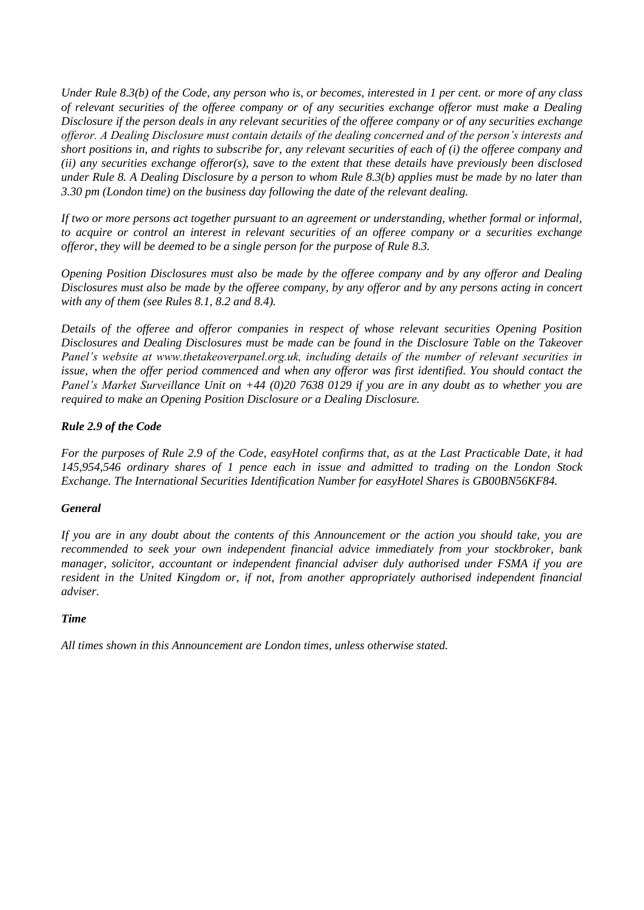*Under Rule 8.3(b) of the Code, any person who is, or becomes, interested in 1 per cent. or more of any class of relevant securities of the offeree company or of any securities exchange offeror must make a Dealing Disclosure if the person deals in any relevant securities of the offeree company or of any securities exchange offeror. A Dealing Disclosure must contain details of the dealing concerned and of the person's interests and short positions in, and rights to subscribe for, any relevant securities of each of (i) the offeree company and (ii) any securities exchange offeror(s), save to the extent that these details have previously been disclosed under Rule 8. A Dealing Disclosure by a person to whom Rule 8.3(b) applies must be made by no later than 3.30 pm (London time) on the business day following the date of the relevant dealing.* 

*If two or more persons act together pursuant to an agreement or understanding, whether formal or informal, to acquire or control an interest in relevant securities of an offeree company or a securities exchange offeror, they will be deemed to be a single person for the purpose of Rule 8.3.*

*Opening Position Disclosures must also be made by the offeree company and by any offeror and Dealing Disclosures must also be made by the offeree company, by any offeror and by any persons acting in concert with any of them (see Rules 8.1, 8.2 and 8.4).*

*Details of the offeree and offeror companies in respect of whose relevant securities Opening Position Disclosures and Dealing Disclosures must be made can be found in the Disclosure Table on the Takeover Panel's website at www.thetakeoverpanel.org.uk, including details of the number of relevant securities in*  issue, when the offer period commenced and when any offeror was first identified. You should contact the *Panel's Market Surveillance Unit on +44 (0)20 7638 0129 if you are in any doubt as to whether you are required to make an Opening Position Disclosure or a Dealing Disclosure.*

# *Rule 2.9 of the Code*

*For the purposes of Rule 2.9 of the Code, easyHotel confirms that, as at the Last Practicable Date, it had 145,954,546 ordinary shares of 1 pence each in issue and admitted to trading on the London Stock Exchange. The International Securities Identification Number for easyHotel Shares is GB00BN56KF84.*

### *General*

*If you are in any doubt about the contents of this Announcement or the action you should take, you are recommended to seek your own independent financial advice immediately from your stockbroker, bank manager, solicitor, accountant or independent financial adviser duly authorised under FSMA if you are resident in the United Kingdom or, if not, from another appropriately authorised independent financial adviser.*

### *Time*

*All times shown in this Announcement are London times, unless otherwise stated.*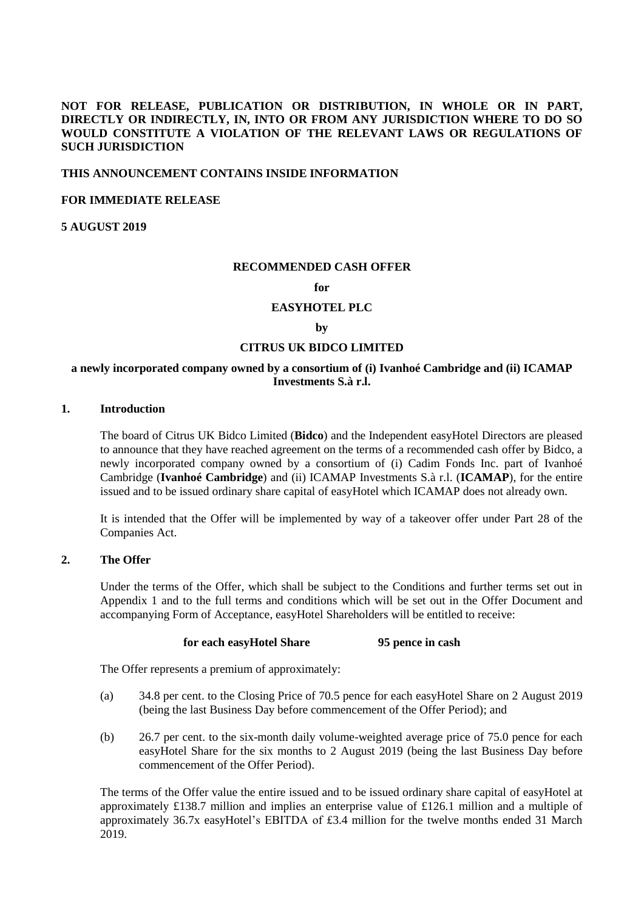# **NOT FOR RELEASE, PUBLICATION OR DISTRIBUTION, IN WHOLE OR IN PART, DIRECTLY OR INDIRECTLY, IN, INTO OR FROM ANY JURISDICTION WHERE TO DO SO WOULD CONSTITUTE A VIOLATION OF THE RELEVANT LAWS OR REGULATIONS OF SUCH JURISDICTION**

#### **THIS ANNOUNCEMENT CONTAINS INSIDE INFORMATION**

### **FOR IMMEDIATE RELEASE**

**5 AUGUST 2019**

#### **RECOMMENDED CASH OFFER**

#### **for**

### **EASYHOTEL PLC**

#### **by**

### **CITRUS UK BIDCO LIMITED**

### **a newly incorporated company owned by a consortium of (i) Ivanhoé Cambridge and (ii) ICAMAP Investments S.à r.l.**

# **1. Introduction**

The board of Citrus UK Bidco Limited (**Bidco**) and the Independent easyHotel Directors are pleased to announce that they have reached agreement on the terms of a recommended cash offer by Bidco, a newly incorporated company owned by a consortium of (i) Cadim Fonds Inc. part of Ivanhoé Cambridge (**Ivanhoé Cambridge**) and (ii) ICAMAP Investments S.à r.l. (**ICAMAP**), for the entire issued and to be issued ordinary share capital of easyHotel which ICAMAP does not already own.

It is intended that the Offer will be implemented by way of a takeover offer under Part 28 of the Companies Act.

### **2. The Offer**

Under the terms of the Offer, which shall be subject to the Conditions and further terms set out in [Appendix 1](#page-26-0) and to the full terms and conditions which will be set out in the Offer Document and accompanying Form of Acceptance, easyHotel Shareholders will be entitled to receive:

#### **for each easyHotel Share 95 pence in cash**

The Offer represents a premium of approximately:

- (a) 34.8 per cent. to the Closing Price of 70.5 pence for each easyHotel Share on 2 August 2019 (being the last Business Day before commencement of the Offer Period); and
- (b) 26.7 per cent. to the six-month daily volume-weighted average price of 75.0 pence for each easyHotel Share for the six months to 2 August 2019 (being the last Business Day before commencement of the Offer Period).

The terms of the Offer value the entire issued and to be issued ordinary share capital of easyHotel at approximately £138.7 million and implies an enterprise value of £126.1 million and a multiple of approximately 36.7x easyHotel's EBITDA of £3.4 million for the twelve months ended 31 March 2019.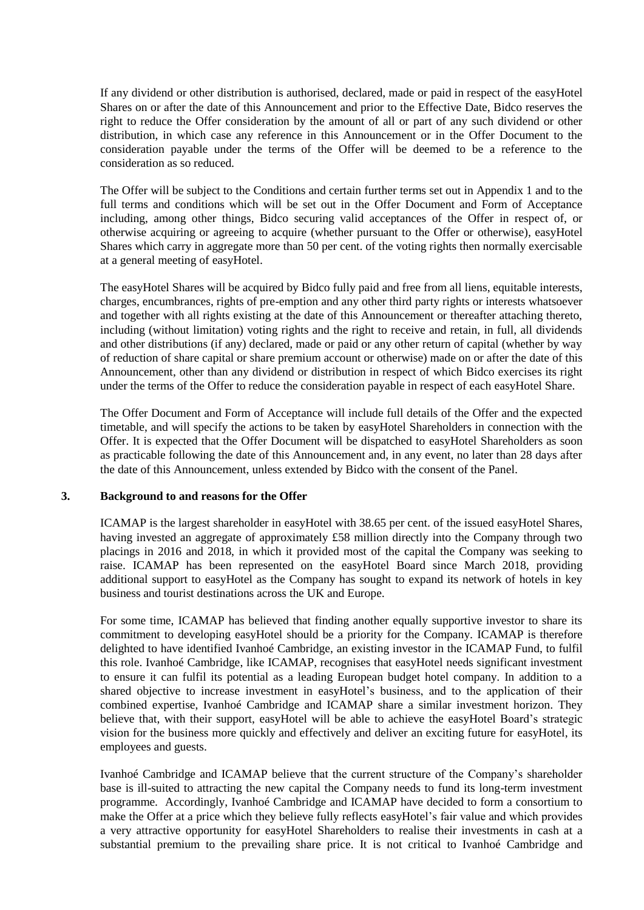If any dividend or other distribution is authorised, declared, made or paid in respect of the easyHotel Shares on or after the date of this Announcement and prior to the Effective Date, Bidco reserves the right to reduce the Offer consideration by the amount of all or part of any such dividend or other distribution, in which case any reference in this Announcement or in the Offer Document to the consideration payable under the terms of the Offer will be deemed to be a reference to the consideration as so reduced.

The Offer will be subject to the Conditions and certain further terms set out in [Appendix 1](#page-26-0) and to the full terms and conditions which will be set out in the Offer Document and Form of Acceptance including, among other things, Bidco securing valid acceptances of the Offer in respect of, or otherwise acquiring or agreeing to acquire (whether pursuant to the Offer or otherwise), easyHotel Shares which carry in aggregate more than 50 per cent. of the voting rights then normally exercisable at a general meeting of easyHotel.

The easyHotel Shares will be acquired by Bidco fully paid and free from all liens, equitable interests, charges, encumbrances, rights of pre-emption and any other third party rights or interests whatsoever and together with all rights existing at the date of this Announcement or thereafter attaching thereto, including (without limitation) voting rights and the right to receive and retain, in full, all dividends and other distributions (if any) declared, made or paid or any other return of capital (whether by way of reduction of share capital or share premium account or otherwise) made on or after the date of this Announcement, other than any dividend or distribution in respect of which Bidco exercises its right under the terms of the Offer to reduce the consideration payable in respect of each easyHotel Share.

The Offer Document and Form of Acceptance will include full details of the Offer and the expected timetable, and will specify the actions to be taken by easyHotel Shareholders in connection with the Offer. It is expected that the Offer Document will be dispatched to easyHotel Shareholders as soon as practicable following the date of this Announcement and, in any event, no later than 28 days after the date of this Announcement, unless extended by Bidco with the consent of the Panel.

### **3. Background to and reasons for the Offer**

ICAMAP is the largest shareholder in easyHotel with 38.65 per cent. of the issued easyHotel Shares, having invested an aggregate of approximately £58 million directly into the Company through two placings in 2016 and 2018, in which it provided most of the capital the Company was seeking to raise. ICAMAP has been represented on the easyHotel Board since March 2018, providing additional support to easyHotel as the Company has sought to expand its network of hotels in key business and tourist destinations across the UK and Europe.

For some time, ICAMAP has believed that finding another equally supportive investor to share its commitment to developing easyHotel should be a priority for the Company. ICAMAP is therefore delighted to have identified Ivanhoé Cambridge, an existing investor in the ICAMAP Fund, to fulfil this role. Ivanhoé Cambridge, like ICAMAP, recognises that easyHotel needs significant investment to ensure it can fulfil its potential as a leading European budget hotel company. In addition to a shared objective to increase investment in easyHotel's business, and to the application of their combined expertise, Ivanhoé Cambridge and ICAMAP share a similar investment horizon. They believe that, with their support, easyHotel will be able to achieve the easyHotel Board's strategic vision for the business more quickly and effectively and deliver an exciting future for easyHotel, its employees and guests.

Ivanhoé Cambridge and ICAMAP believe that the current structure of the Company's shareholder base is ill-suited to attracting the new capital the Company needs to fund its long-term investment programme. Accordingly, Ivanhoé Cambridge and ICAMAP have decided to form a consortium to make the Offer at a price which they believe fully reflects easyHotel's fair value and which provides a very attractive opportunity for easyHotel Shareholders to realise their investments in cash at a substantial premium to the prevailing share price. It is not critical to Ivanhoé Cambridge and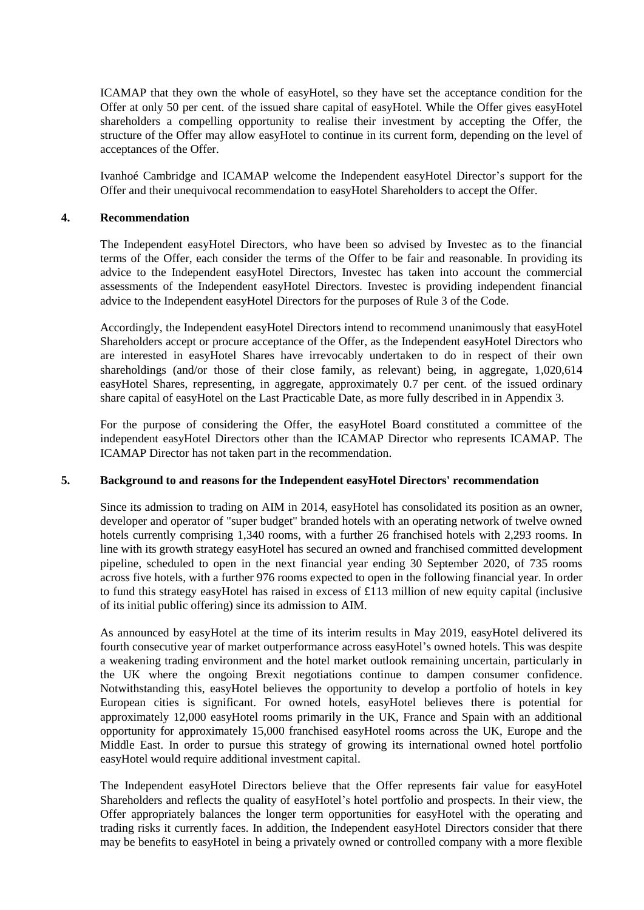ICAMAP that they own the whole of easyHotel, so they have set the acceptance condition for the Offer at only 50 per cent. of the issued share capital of easyHotel. While the Offer gives easyHotel shareholders a compelling opportunity to realise their investment by accepting the Offer, the structure of the Offer may allow easyHotel to continue in its current form, depending on the level of acceptances of the Offer.

Ivanhoé Cambridge and ICAMAP welcome the Independent easyHotel Director's support for the Offer and their unequivocal recommendation to easyHotel Shareholders to accept the Offer.

### **4. Recommendation**

The Independent easyHotel Directors, who have been so advised by Investec as to the financial terms of the Offer, each consider the terms of the Offer to be fair and reasonable. In providing its advice to the Independent easyHotel Directors, Investec has taken into account the commercial assessments of the Independent easyHotel Directors. Investec is providing independent financial advice to the Independent easyHotel Directors for the purposes of Rule 3 of the Code.

Accordingly, the Independent easyHotel Directors intend to recommend unanimously that easyHotel Shareholders accept or procure acceptance of the Offer, as the Independent easyHotel Directors who are interested in easyHotel Shares have irrevocably undertaken to do in respect of their own shareholdings (and/or those of their close family, as relevant) being, in aggregate, 1,020,614 easyHotel Shares, representing, in aggregate, approximately 0.7 per cent. of the issued ordinary share capital of easyHotel on the Last Practicable Date, as more fully described in in [Appendix 3.](#page-39-0)

For the purpose of considering the Offer, the easyHotel Board constituted a committee of the independent easyHotel Directors other than the ICAMAP Director who represents ICAMAP. The ICAMAP Director has not taken part in the recommendation.

### **5. Background to and reasons for the Independent easyHotel Directors' recommendation**

Since its admission to trading on AIM in 2014, easyHotel has consolidated its position as an owner, developer and operator of "super budget" branded hotels with an operating network of twelve owned hotels currently comprising 1,340 rooms, with a further 26 franchised hotels with 2,293 rooms. In line with its growth strategy easyHotel has secured an owned and franchised committed development pipeline, scheduled to open in the next financial year ending 30 September 2020, of 735 rooms across five hotels, with a further 976 rooms expected to open in the following financial year. In order to fund this strategy easyHotel has raised in excess of £113 million of new equity capital (inclusive of its initial public offering) since its admission to AIM.

As announced by easyHotel at the time of its interim results in May 2019, easyHotel delivered its fourth consecutive year of market outperformance across easyHotel's owned hotels. This was despite a weakening trading environment and the hotel market outlook remaining uncertain, particularly in the UK where the ongoing Brexit negotiations continue to dampen consumer confidence. Notwithstanding this, easyHotel believes the opportunity to develop a portfolio of hotels in key European cities is significant. For owned hotels, easyHotel believes there is potential for approximately 12,000 easyHotel rooms primarily in the UK, France and Spain with an additional opportunity for approximately 15,000 franchised easyHotel rooms across the UK, Europe and the Middle East. In order to pursue this strategy of growing its international owned hotel portfolio easyHotel would require additional investment capital.

The Independent easyHotel Directors believe that the Offer represents fair value for easyHotel Shareholders and reflects the quality of easyHotel's hotel portfolio and prospects. In their view, the Offer appropriately balances the longer term opportunities for easyHotel with the operating and trading risks it currently faces. In addition, the Independent easyHotel Directors consider that there may be benefits to easyHotel in being a privately owned or controlled company with a more flexible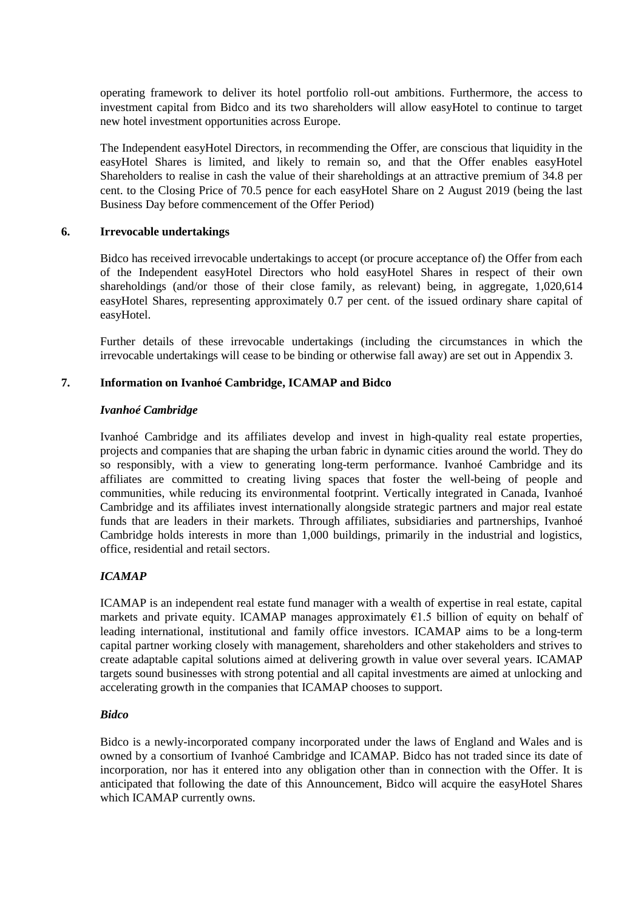operating framework to deliver its hotel portfolio roll-out ambitions. Furthermore, the access to investment capital from Bidco and its two shareholders will allow easyHotel to continue to target new hotel investment opportunities across Europe.

The Independent easyHotel Directors, in recommending the Offer, are conscious that liquidity in the easyHotel Shares is limited, and likely to remain so, and that the Offer enables easyHotel Shareholders to realise in cash the value of their shareholdings at an attractive premium of 34.8 per cent. to the Closing Price of 70.5 pence for each easyHotel Share on 2 August 2019 (being the last Business Day before commencement of the Offer Period)

### <span id="page-13-0"></span>**6. Irrevocable undertakings**

Bidco has received irrevocable undertakings to accept (or procure acceptance of) the Offer from each of the Independent easyHotel Directors who hold easyHotel Shares in respect of their own shareholdings (and/or those of their close family, as relevant) being, in aggregate, 1,020,614 easyHotel Shares, representing approximately 0.7 per cent. of the issued ordinary share capital of easyHotel.

Further details of these irrevocable undertakings (including the circumstances in which the irrevocable undertakings will cease to be binding or otherwise fall away) are set out in [Appendix 3.](#page-39-0)

### **7. Information on Ivanhoé Cambridge, ICAMAP and Bidco**

### *Ivanhoé Cambridge*

Ivanhoé Cambridge and its affiliates develop and invest in high-quality real estate properties, projects and companies that are shaping the urban fabric in dynamic cities around the world. They do so responsibly, with a view to generating long-term performance. Ivanhoé Cambridge and its affiliates are committed to creating living spaces that foster the well-being of people and communities, while reducing its environmental footprint. Vertically integrated in Canada, Ivanhoé Cambridge and its affiliates invest internationally alongside strategic partners and major real estate funds that are leaders in their markets. Through affiliates, subsidiaries and partnerships, Ivanhoé Cambridge holds interests in more than 1,000 buildings, primarily in the industrial and logistics, office, residential and retail sectors.

### *ICAMAP*

ICAMAP is an independent real estate fund manager with a wealth of expertise in real estate, capital markets and private equity. ICAMAP manages approximately  $E1.5$  billion of equity on behalf of leading international, institutional and family office investors. ICAMAP aims to be a long-term capital partner working closely with management, shareholders and other stakeholders and strives to create adaptable capital solutions aimed at delivering growth in value over several years. ICAMAP targets sound businesses with strong potential and all capital investments are aimed at unlocking and accelerating growth in the companies that ICAMAP chooses to support.

### *Bidco*

Bidco is a newly-incorporated company incorporated under the laws of England and Wales and is owned by a consortium of Ivanhoé Cambridge and ICAMAP. Bidco has not traded since its date of incorporation, nor has it entered into any obligation other than in connection with the Offer. It is anticipated that following the date of this Announcement, Bidco will acquire the easyHotel Shares which ICAMAP currently owns.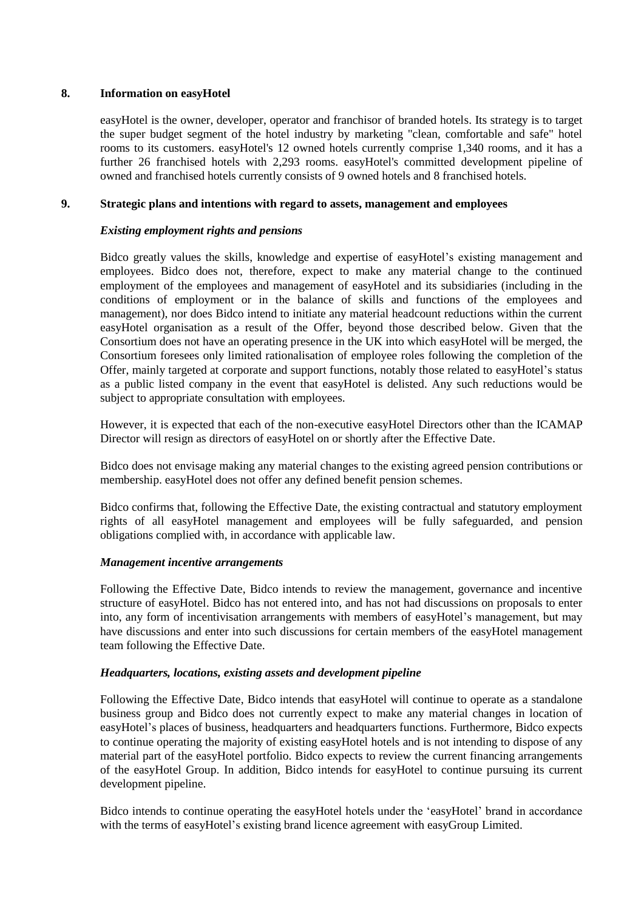# **8. Information on easyHotel**

easyHotel is the owner, developer, operator and franchisor of branded hotels. Its strategy is to target the super budget segment of the hotel industry by marketing "clean, comfortable and safe" hotel rooms to its customers. easyHotel's 12 owned hotels currently comprise 1,340 rooms, and it has a further 26 franchised hotels with 2,293 rooms. easyHotel's committed development pipeline of owned and franchised hotels currently consists of 9 owned hotels and 8 franchised hotels.

# <span id="page-14-0"></span>**9. Strategic plans and intentions with regard to assets, management and employees**

# *Existing employment rights and pensions*

Bidco greatly values the skills, knowledge and expertise of easyHotel's existing management and employees. Bidco does not, therefore, expect to make any material change to the continued employment of the employees and management of easyHotel and its subsidiaries (including in the conditions of employment or in the balance of skills and functions of the employees and management), nor does Bidco intend to initiate any material headcount reductions within the current easyHotel organisation as a result of the Offer, beyond those described below. Given that the Consortium does not have an operating presence in the UK into which easyHotel will be merged, the Consortium foresees only limited rationalisation of employee roles following the completion of the Offer, mainly targeted at corporate and support functions, notably those related to easyHotel's status as a public listed company in the event that easyHotel is delisted. Any such reductions would be subject to appropriate consultation with employees.

However, it is expected that each of the non-executive easyHotel Directors other than the ICAMAP Director will resign as directors of easyHotel on or shortly after the Effective Date.

Bidco does not envisage making any material changes to the existing agreed pension contributions or membership. easyHotel does not offer any defined benefit pension schemes.

Bidco confirms that, following the Effective Date, the existing contractual and statutory employment rights of all easyHotel management and employees will be fully safeguarded, and pension obligations complied with, in accordance with applicable law.

### *Management incentive arrangements*

Following the Effective Date, Bidco intends to review the management, governance and incentive structure of easyHotel. Bidco has not entered into, and has not had discussions on proposals to enter into, any form of incentivisation arrangements with members of easyHotel's management, but may have discussions and enter into such discussions for certain members of the easyHotel management team following the Effective Date.

# *Headquarters, locations, existing assets and development pipeline*

Following the Effective Date, Bidco intends that easyHotel will continue to operate as a standalone business group and Bidco does not currently expect to make any material changes in location of easyHotel's places of business, headquarters and headquarters functions. Furthermore, Bidco expects to continue operating the majority of existing easyHotel hotels and is not intending to dispose of any material part of the easyHotel portfolio. Bidco expects to review the current financing arrangements of the easyHotel Group. In addition, Bidco intends for easyHotel to continue pursuing its current development pipeline.

Bidco intends to continue operating the easyHotel hotels under the 'easyHotel' brand in accordance with the terms of easyHotel's existing brand licence agreement with easyGroup Limited.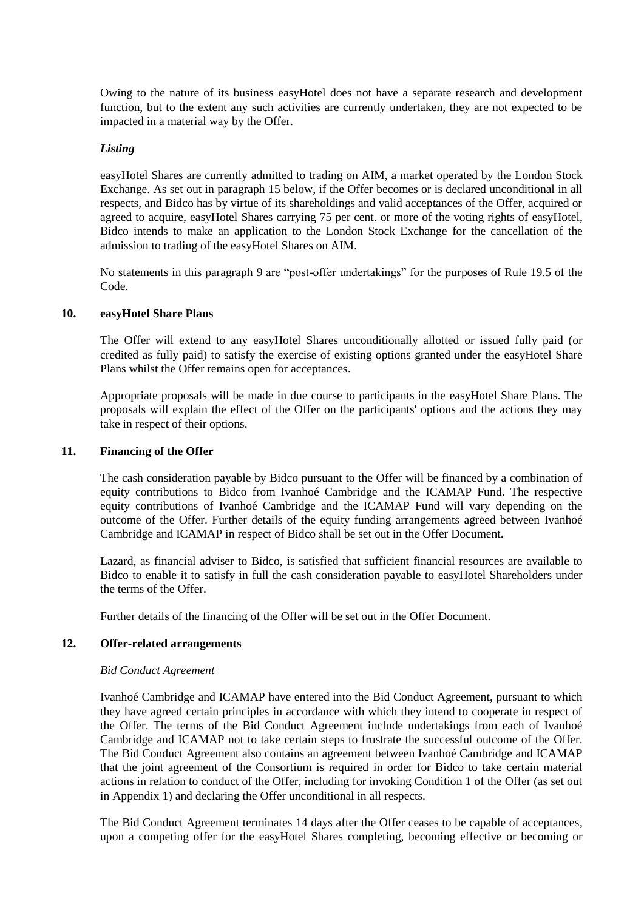Owing to the nature of its business easyHotel does not have a separate research and development function, but to the extent any such activities are currently undertaken, they are not expected to be impacted in a material way by the Offer.

### *Listing*

easyHotel Shares are currently admitted to trading on AIM, a market operated by the London Stock Exchange. As set out in paragraph [15](#page-17-0) below, if the Offer becomes or is declared unconditional in all respects, and Bidco has by virtue of its shareholdings and valid acceptances of the Offer, acquired or agreed to acquire, easyHotel Shares carrying 75 per cent. or more of the voting rights of easyHotel, Bidco intends to make an application to the London Stock Exchange for the cancellation of the admission to trading of the easyHotel Shares on AIM.

No statements in this paragraph [9](#page-14-0) are "post-offer undertakings" for the purposes of Rule 19.5 of the Code.

### **10. easyHotel Share Plans**

The Offer will extend to any easyHotel Shares unconditionally allotted or issued fully paid (or credited as fully paid) to satisfy the exercise of existing options granted under the easyHotel Share Plans whilst the Offer remains open for acceptances.

Appropriate proposals will be made in due course to participants in the easyHotel Share Plans. The proposals will explain the effect of the Offer on the participants' options and the actions they may take in respect of their options.

### <span id="page-15-0"></span>**11. Financing of the Offer**

The cash consideration payable by Bidco pursuant to the Offer will be financed by a combination of equity contributions to Bidco from Ivanhoé Cambridge and the ICAMAP Fund. The respective equity contributions of Ivanhoé Cambridge and the ICAMAP Fund will vary depending on the outcome of the Offer. Further details of the equity funding arrangements agreed between Ivanhoé Cambridge and ICAMAP in respect of Bidco shall be set out in the Offer Document.

Lazard, as financial adviser to Bidco, is satisfied that sufficient financial resources are available to Bidco to enable it to satisfy in full the cash consideration payable to easyHotel Shareholders under the terms of the Offer.

Further details of the financing of the Offer will be set out in the Offer Document.

#### **12. Offer-related arrangements**

#### *Bid Conduct Agreement*

Ivanhoé Cambridge and ICAMAP have entered into the Bid Conduct Agreement, pursuant to which they have agreed certain principles in accordance with which they intend to cooperate in respect of the Offer. The terms of the Bid Conduct Agreement include undertakings from each of Ivanhoé Cambridge and ICAMAP not to take certain steps to frustrate the successful outcome of the Offer. The Bid Conduct Agreement also contains an agreement between Ivanhoé Cambridge and ICAMAP that the joint agreement of the Consortium is required in order for Bidco to take certain material actions in relation to conduct of the Offer, including for invoking Condition 1 of the Offer (as set out in Appendix 1) and declaring the Offer unconditional in all respects.

The Bid Conduct Agreement terminates 14 days after the Offer ceases to be capable of acceptances, upon a competing offer for the easyHotel Shares completing, becoming effective or becoming or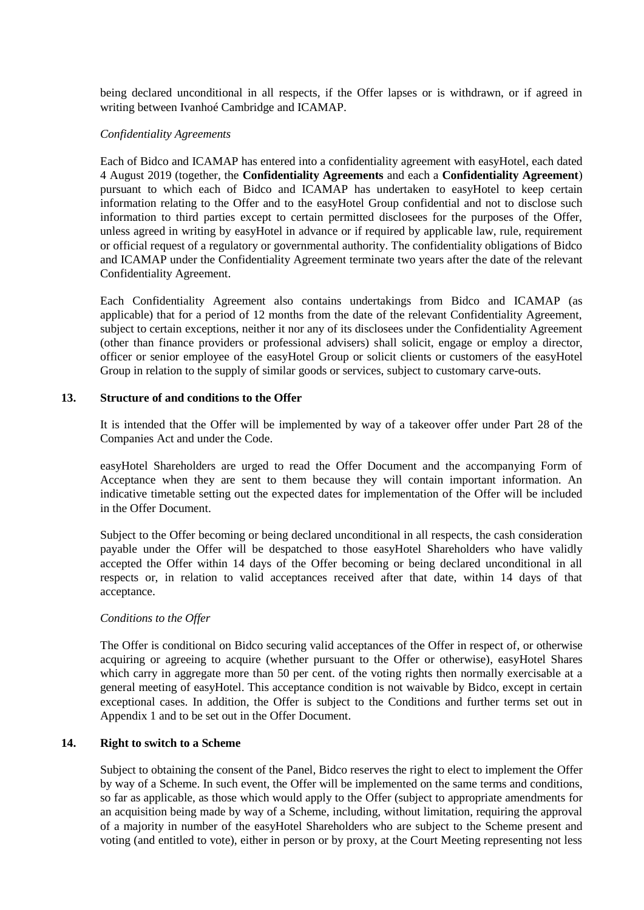being declared unconditional in all respects, if the Offer lapses or is withdrawn, or if agreed in writing between Ivanhoé Cambridge and ICAMAP.

#### *Confidentiality Agreements*

Each of Bidco and ICAMAP has entered into a confidentiality agreement with easyHotel, each dated 4 August 2019 (together, the **Confidentiality Agreements** and each a **Confidentiality Agreement**) pursuant to which each of Bidco and ICAMAP has undertaken to easyHotel to keep certain information relating to the Offer and to the easyHotel Group confidential and not to disclose such information to third parties except to certain permitted disclosees for the purposes of the Offer, unless agreed in writing by easyHotel in advance or if required by applicable law, rule, requirement or official request of a regulatory or governmental authority. The confidentiality obligations of Bidco and ICAMAP under the Confidentiality Agreement terminate two years after the date of the relevant Confidentiality Agreement.

Each Confidentiality Agreement also contains undertakings from Bidco and ICAMAP (as applicable) that for a period of 12 months from the date of the relevant Confidentiality Agreement, subject to certain exceptions, neither it nor any of its disclosees under the Confidentiality Agreement (other than finance providers or professional advisers) shall solicit, engage or employ a director, officer or senior employee of the easyHotel Group or solicit clients or customers of the easyHotel Group in relation to the supply of similar goods or services, subject to customary carve-outs.

### **13. Structure of and conditions to the Offer**

It is intended that the Offer will be implemented by way of a takeover offer under Part 28 of the Companies Act and under the Code.

easyHotel Shareholders are urged to read the Offer Document and the accompanying Form of Acceptance when they are sent to them because they will contain important information. An indicative timetable setting out the expected dates for implementation of the Offer will be included in the Offer Document.

Subject to the Offer becoming or being declared unconditional in all respects, the cash consideration payable under the Offer will be despatched to those easyHotel Shareholders who have validly accepted the Offer within 14 days of the Offer becoming or being declared unconditional in all respects or, in relation to valid acceptances received after that date, within 14 days of that acceptance.

### *Conditions to the Offer*

The Offer is conditional on Bidco securing valid acceptances of the Offer in respect of, or otherwise acquiring or agreeing to acquire (whether pursuant to the Offer or otherwise), easyHotel Shares which carry in aggregate more than 50 per cent. of the voting rights then normally exercisable at a general meeting of easyHotel. This acceptance condition is not waivable by Bidco, except in certain exceptional cases. In addition, the Offer is subject to the Conditions and further terms set out in [Appendix 1](#page-26-0) and to be set out in the Offer Document.

### **14. Right to switch to a Scheme**

Subject to obtaining the consent of the Panel, Bidco reserves the right to elect to implement the Offer by way of a Scheme. In such event, the Offer will be implemented on the same terms and conditions, so far as applicable, as those which would apply to the Offer (subject to appropriate amendments for an acquisition being made by way of a Scheme, including, without limitation, requiring the approval of a majority in number of the easyHotel Shareholders who are subject to the Scheme present and voting (and entitled to vote), either in person or by proxy, at the Court Meeting representing not less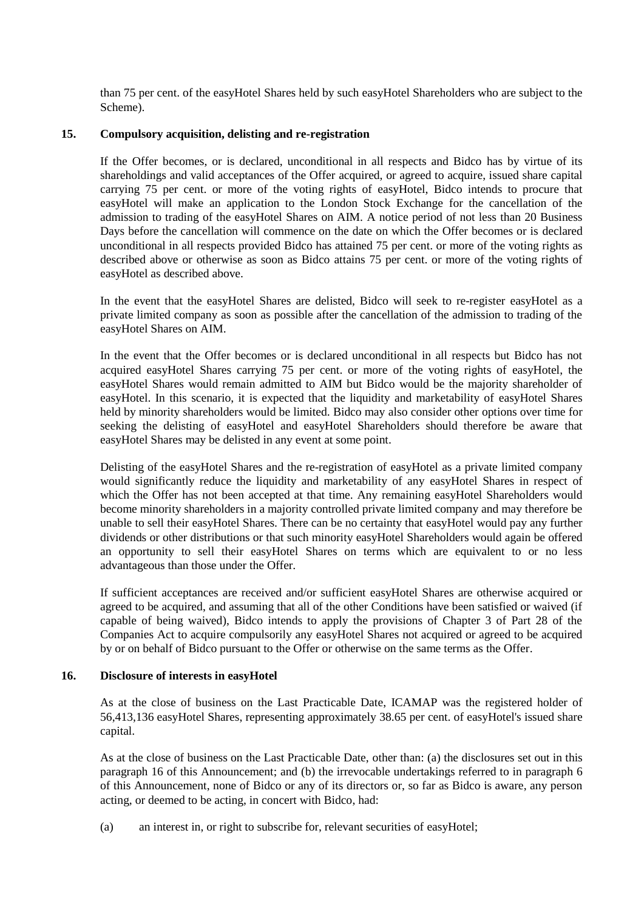than 75 per cent. of the easyHotel Shares held by such easyHotel Shareholders who are subject to the Scheme).

### <span id="page-17-0"></span>**15. Compulsory acquisition, delisting and re-registration**

If the Offer becomes, or is declared, unconditional in all respects and Bidco has by virtue of its shareholdings and valid acceptances of the Offer acquired, or agreed to acquire, issued share capital carrying 75 per cent. or more of the voting rights of easyHotel, Bidco intends to procure that easyHotel will make an application to the London Stock Exchange for the cancellation of the admission to trading of the easyHotel Shares on AIM. A notice period of not less than 20 Business Days before the cancellation will commence on the date on which the Offer becomes or is declared unconditional in all respects provided Bidco has attained 75 per cent. or more of the voting rights as described above or otherwise as soon as Bidco attains 75 per cent. or more of the voting rights of easyHotel as described above.

In the event that the easyHotel Shares are delisted, Bidco will seek to re-register easyHotel as a private limited company as soon as possible after the cancellation of the admission to trading of the easyHotel Shares on AIM.

In the event that the Offer becomes or is declared unconditional in all respects but Bidco has not acquired easyHotel Shares carrying 75 per cent. or more of the voting rights of easyHotel, the easyHotel Shares would remain admitted to AIM but Bidco would be the majority shareholder of easyHotel. In this scenario, it is expected that the liquidity and marketability of easyHotel Shares held by minority shareholders would be limited. Bidco may also consider other options over time for seeking the delisting of easyHotel and easyHotel Shareholders should therefore be aware that easyHotel Shares may be delisted in any event at some point.

Delisting of the easyHotel Shares and the re-registration of easyHotel as a private limited company would significantly reduce the liquidity and marketability of any easyHotel Shares in respect of which the Offer has not been accepted at that time. Any remaining easyHotel Shareholders would become minority shareholders in a majority controlled private limited company and may therefore be unable to sell their easyHotel Shares. There can be no certainty that easyHotel would pay any further dividends or other distributions or that such minority easyHotel Shareholders would again be offered an opportunity to sell their easyHotel Shares on terms which are equivalent to or no less advantageous than those under the Offer.

If sufficient acceptances are received and/or sufficient easyHotel Shares are otherwise acquired or agreed to be acquired, and assuming that all of the other Conditions have been satisfied or waived (if capable of being waived), Bidco intends to apply the provisions of Chapter 3 of Part 28 of the Companies Act to acquire compulsorily any easyHotel Shares not acquired or agreed to be acquired by or on behalf of Bidco pursuant to the Offer or otherwise on the same terms as the Offer.

### <span id="page-17-1"></span>**16. Disclosure of interests in easyHotel**

As at the close of business on the Last Practicable Date, ICAMAP was the registered holder of 56,413,136 easyHotel Shares, representing approximately 38.65 per cent. of easyHotel's issued share capital.

As at the close of business on the Last Practicable Date, other than: (a) the disclosures set out in this paragraph [16](#page-17-1) of this Announcement; and (b) the irrevocable undertakings referred to in paragraph [6](#page-13-0) of this Announcement, none of Bidco or any of its directors or, so far as Bidco is aware, any person acting, or deemed to be acting, in concert with Bidco, had:

(a) an interest in, or right to subscribe for, relevant securities of easyHotel;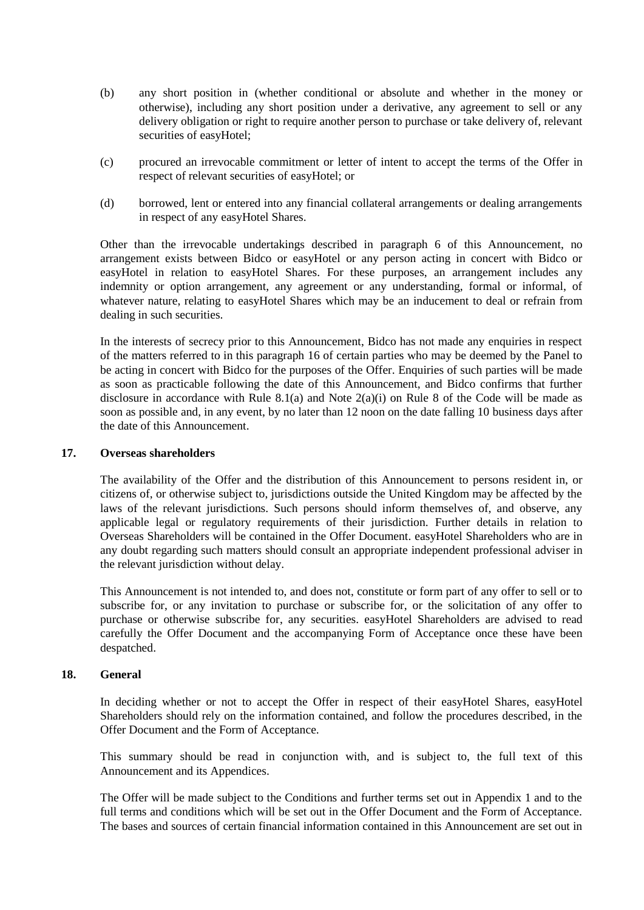- (b) any short position in (whether conditional or absolute and whether in the money or otherwise), including any short position under a derivative, any agreement to sell or any delivery obligation or right to require another person to purchase or take delivery of, relevant securities of easyHotel;
- (c) procured an irrevocable commitment or letter of intent to accept the terms of the Offer in respect of relevant securities of easyHotel; or
- (d) borrowed, lent or entered into any financial collateral arrangements or dealing arrangements in respect of any easyHotel Shares.

Other than the irrevocable undertakings described in paragraph [6](#page-13-0) of this Announcement, no arrangement exists between Bidco or easyHotel or any person acting in concert with Bidco or easyHotel in relation to easyHotel Shares. For these purposes, an arrangement includes any indemnity or option arrangement, any agreement or any understanding, formal or informal, of whatever nature, relating to easyHotel Shares which may be an inducement to deal or refrain from dealing in such securities.

In the interests of secrecy prior to this Announcement, Bidco has not made any enquiries in respect of the matters referred to in this paragraph [16](#page-17-1) of certain parties who may be deemed by the Panel to be acting in concert with Bidco for the purposes of the Offer. Enquiries of such parties will be made as soon as practicable following the date of this Announcement, and Bidco confirms that further disclosure in accordance with Rule 8.1(a) and Note  $2(a)(i)$  on Rule 8 of the Code will be made as soon as possible and, in any event, by no later than 12 noon on the date falling 10 business days after the date of this Announcement.

### **17. Overseas shareholders**

The availability of the Offer and the distribution of this Announcement to persons resident in, or citizens of, or otherwise subject to, jurisdictions outside the United Kingdom may be affected by the laws of the relevant jurisdictions. Such persons should inform themselves of, and observe, any applicable legal or regulatory requirements of their jurisdiction. Further details in relation to Overseas Shareholders will be contained in the Offer Document. easyHotel Shareholders who are in any doubt regarding such matters should consult an appropriate independent professional adviser in the relevant jurisdiction without delay.

This Announcement is not intended to, and does not, constitute or form part of any offer to sell or to subscribe for, or any invitation to purchase or subscribe for, or the solicitation of any offer to purchase or otherwise subscribe for, any securities. easyHotel Shareholders are advised to read carefully the Offer Document and the accompanying Form of Acceptance once these have been despatched.

# **18. General**

In deciding whether or not to accept the Offer in respect of their easyHotel Shares, easyHotel Shareholders should rely on the information contained, and follow the procedures described, in the Offer Document and the Form of Acceptance.

This summary should be read in conjunction with, and is subject to, the full text of this Announcement and its Appendices.

The Offer will be made subject to the Conditions and further terms set out in Appendix 1 and to the full terms and conditions which will be set out in the Offer Document and the Form of Acceptance. The bases and sources of certain financial information contained in this Announcement are set out in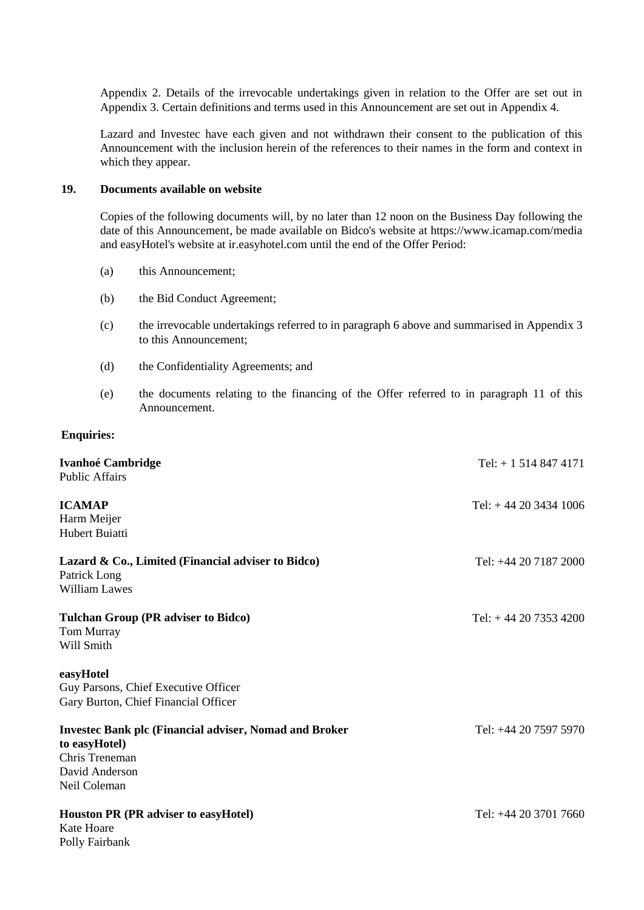Appendix 2. Details of the irrevocable undertakings given in relation to the Offer are set out in Appendix 3. Certain definitions and terms used in this Announcement are set out in Appendix 4.

Lazard and Investec have each given and not withdrawn their consent to the publication of this Announcement with the inclusion herein of the references to their names in the form and context in which they appear.

### **19. Documents available on website**

Copies of the following documents will, by no later than 12 noon on the Business Day following the date of this Announcement, be made available on Bidco's website at https://www.icamap.com/media and easyHotel's website at ir.easyhotel.com until the end of the Offer Period:

- (a) this Announcement;
- (b) the Bid Conduct Agreement;
- (c) the irrevocable undertakings referred to in paragraph [6](#page-13-0) above and summarised in [Appendix 3](#page-39-0) to this Announcement;
- (d) the Confidentiality Agreements; and
- (e) the documents relating to the financing of the Offer referred to in paragraph [11](#page-15-0) of this Announcement.

#### **Enquiries:**

| <b>Ivanhoé Cambridge</b><br><b>Public Affairs</b>                                                                                  | Tel: $+ 15148474171$  |
|------------------------------------------------------------------------------------------------------------------------------------|-----------------------|
| <b>ICAMAP</b><br>Harm Meijer<br>Hubert Buiatti                                                                                     | Tel: $+442034341006$  |
| Lazard & Co., Limited (Financial adviser to Bidco)<br>Patrick Long<br><b>William Lawes</b>                                         | Tel: +44 20 7187 2000 |
| <b>Tulchan Group (PR adviser to Bidco)</b><br>Tom Murray<br>Will Smith                                                             | Tel: $+442073534200$  |
| easyHotel<br>Guy Parsons, Chief Executive Officer<br>Gary Burton, Chief Financial Officer                                          |                       |
| <b>Invested Bank plc (Financial adviser, Nomad and Broker</b><br>to easyHotel)<br>Chris Treneman<br>David Anderson<br>Neil Coleman | Tel: +44 20 7597 5970 |
| <b>Houston PR (PR adviser to easyHotel)</b><br>Kate Hoare<br>Polly Fairbank                                                        | Tel: +44 20 3701 7660 |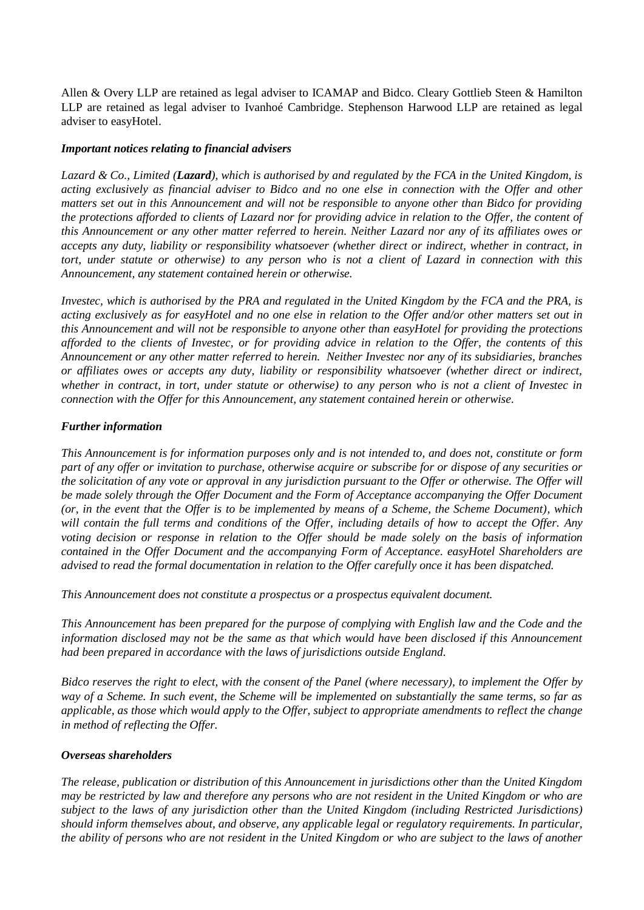Allen & Overy LLP are retained as legal adviser to ICAMAP and Bidco. Cleary Gottlieb Steen & Hamilton LLP are retained as legal adviser to Ivanhoé Cambridge. Stephenson Harwood LLP are retained as legal adviser to easyHotel.

### *Important notices relating to financial advisers*

*Lazard & Co., Limited (Lazard), which is authorised by and regulated by the FCA in the United Kingdom, is acting exclusively as financial adviser to Bidco and no one else in connection with the Offer and other matters set out in this Announcement and will not be responsible to anyone other than Bidco for providing the protections afforded to clients of Lazard nor for providing advice in relation to the Offer, the content of this Announcement or any other matter referred to herein. Neither Lazard nor any of its affiliates owes or accepts any duty, liability or responsibility whatsoever (whether direct or indirect, whether in contract, in tort, under statute or otherwise) to any person who is not a client of Lazard in connection with this Announcement, any statement contained herein or otherwise.*

*Investec, which is authorised by the PRA and regulated in the United Kingdom by the FCA and the PRA, is acting exclusively as for easyHotel and no one else in relation to the Offer and/or other matters set out in this Announcement and will not be responsible to anyone other than easyHotel for providing the protections afforded to the clients of Investec, or for providing advice in relation to the Offer, the contents of this Announcement or any other matter referred to herein. Neither Investec nor any of its subsidiaries, branches or affiliates owes or accepts any duty, liability or responsibility whatsoever (whether direct or indirect, whether in contract, in tort, under statute or otherwise) to any person who is not a client of Investec in connection with the Offer for this Announcement, any statement contained herein or otherwise.*

### *Further information*

*This Announcement is for information purposes only and is not intended to, and does not, constitute or form part of any offer or invitation to purchase, otherwise acquire or subscribe for or dispose of any securities or the solicitation of any vote or approval in any jurisdiction pursuant to the Offer or otherwise. The Offer will be made solely through the Offer Document and the Form of Acceptance accompanying the Offer Document (or, in the event that the Offer is to be implemented by means of a Scheme, the Scheme Document), which will contain the full terms and conditions of the Offer, including details of how to accept the Offer. Any voting decision or response in relation to the Offer should be made solely on the basis of information contained in the Offer Document and the accompanying Form of Acceptance. easyHotel Shareholders are advised to read the formal documentation in relation to the Offer carefully once it has been dispatched.*

*This Announcement does not constitute a prospectus or a prospectus equivalent document.*

*This Announcement has been prepared for the purpose of complying with English law and the Code and the information disclosed may not be the same as that which would have been disclosed if this Announcement had been prepared in accordance with the laws of jurisdictions outside England.*

*Bidco reserves the right to elect, with the consent of the Panel (where necessary), to implement the Offer by way of a Scheme. In such event, the Scheme will be implemented on substantially the same terms, so far as applicable, as those which would apply to the Offer, subject to appropriate amendments to reflect the change in method of reflecting the Offer.*

### *Overseas shareholders*

*The release, publication or distribution of this Announcement in jurisdictions other than the United Kingdom may be restricted by law and therefore any persons who are not resident in the United Kingdom or who are subject to the laws of any jurisdiction other than the United Kingdom (including Restricted Jurisdictions) should inform themselves about, and observe, any applicable legal or regulatory requirements. In particular, the ability of persons who are not resident in the United Kingdom or who are subject to the laws of another*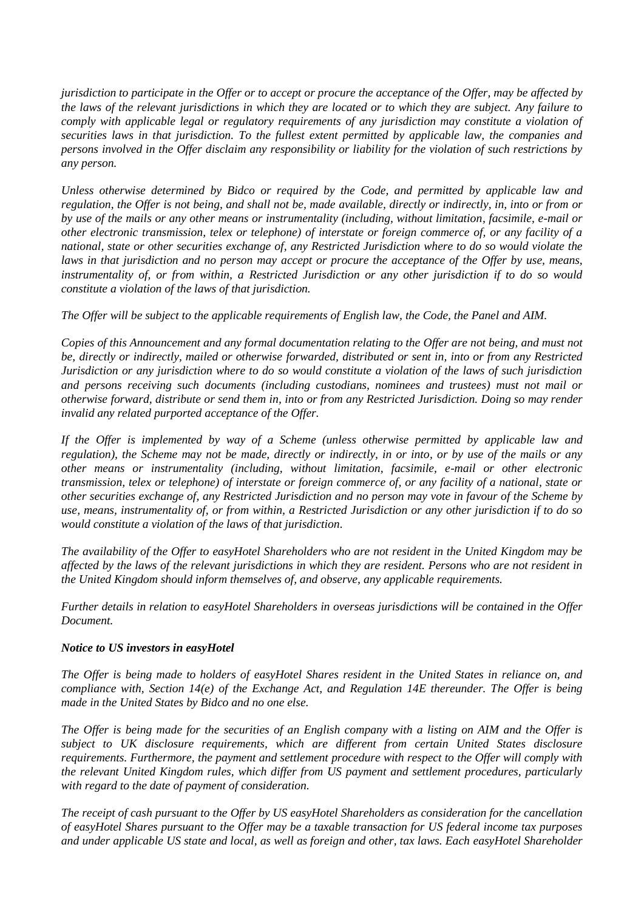*jurisdiction to participate in the Offer or to accept or procure the acceptance of the Offer, may be affected by the laws of the relevant jurisdictions in which they are located or to which they are subject. Any failure to comply with applicable legal or regulatory requirements of any jurisdiction may constitute a violation of securities laws in that jurisdiction. To the fullest extent permitted by applicable law, the companies and persons involved in the Offer disclaim any responsibility or liability for the violation of such restrictions by any person.*

*Unless otherwise determined by Bidco or required by the Code, and permitted by applicable law and regulation, the Offer is not being, and shall not be, made available, directly or indirectly, in, into or from or by use of the mails or any other means or instrumentality (including, without limitation, facsimile, e-mail or other electronic transmission, telex or telephone) of interstate or foreign commerce of, or any facility of a national, state or other securities exchange of, any Restricted Jurisdiction where to do so would violate the laws in that jurisdiction and no person may accept or procure the acceptance of the Offer by use, means, instrumentality of, or from within, a Restricted Jurisdiction or any other jurisdiction if to do so would constitute a violation of the laws of that jurisdiction.*

*The Offer will be subject to the applicable requirements of English law, the Code, the Panel and AIM.*

*Copies of this Announcement and any formal documentation relating to the Offer are not being, and must not be, directly or indirectly, mailed or otherwise forwarded, distributed or sent in, into or from any Restricted Jurisdiction or any jurisdiction where to do so would constitute a violation of the laws of such jurisdiction and persons receiving such documents (including custodians, nominees and trustees) must not mail or otherwise forward, distribute or send them in, into or from any Restricted Jurisdiction. Doing so may render invalid any related purported acceptance of the Offer.*

*If the Offer is implemented by way of a Scheme (unless otherwise permitted by applicable law and regulation), the Scheme may not be made, directly or indirectly, in or into, or by use of the mails or any other means or instrumentality (including, without limitation, facsimile, e-mail or other electronic transmission, telex or telephone) of interstate or foreign commerce of, or any facility of a national, state or other securities exchange of, any Restricted Jurisdiction and no person may vote in favour of the Scheme by use, means, instrumentality of, or from within, a Restricted Jurisdiction or any other jurisdiction if to do so would constitute a violation of the laws of that jurisdiction.*

*The availability of the Offer to easyHotel Shareholders who are not resident in the United Kingdom may be affected by the laws of the relevant jurisdictions in which they are resident. Persons who are not resident in the United Kingdom should inform themselves of, and observe, any applicable requirements.*

*Further details in relation to easyHotel Shareholders in overseas jurisdictions will be contained in the Offer Document.*

### *Notice to US investors in easyHotel*

*The Offer is being made to holders of easyHotel Shares resident in the United States in reliance on, and compliance with, Section 14(e) of the Exchange Act, and Regulation 14E thereunder. The Offer is being made in the United States by Bidco and no one else.*

*The Offer is being made for the securities of an English company with a listing on AIM and the Offer is subject to UK disclosure requirements, which are different from certain United States disclosure requirements. Furthermore, the payment and settlement procedure with respect to the Offer will comply with the relevant United Kingdom rules, which differ from US payment and settlement procedures, particularly with regard to the date of payment of consideration.*

*The receipt of cash pursuant to the Offer by US easyHotel Shareholders as consideration for the cancellation of easyHotel Shares pursuant to the Offer may be a taxable transaction for US federal income tax purposes and under applicable US state and local, as well as foreign and other, tax laws. Each easyHotel Shareholder*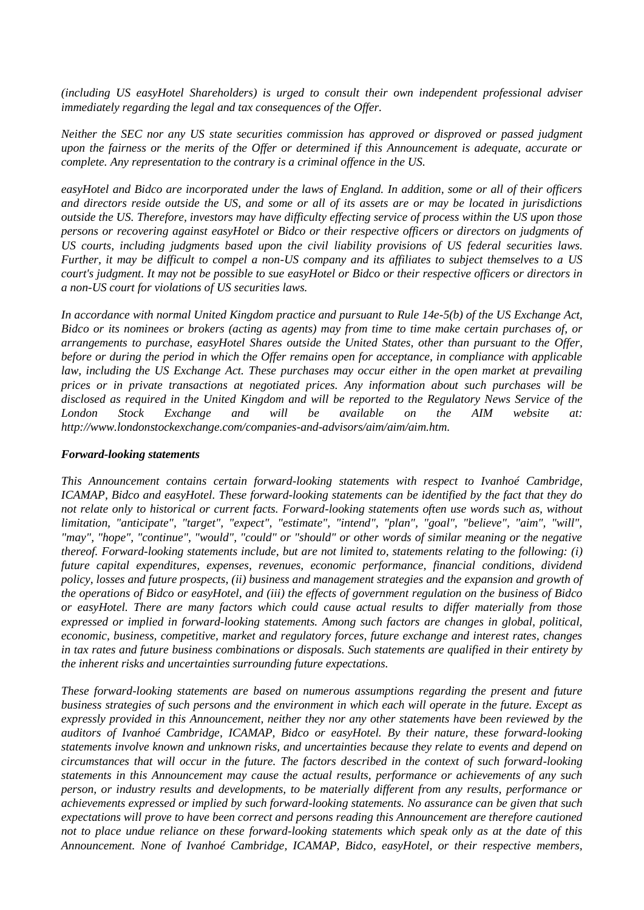*(including US easyHotel Shareholders) is urged to consult their own independent professional adviser immediately regarding the legal and tax consequences of the Offer.*

*Neither the SEC nor any US state securities commission has approved or disproved or passed judgment upon the fairness or the merits of the Offer or determined if this Announcement is adequate, accurate or complete. Any representation to the contrary is a criminal offence in the US.*

*easyHotel and Bidco are incorporated under the laws of England. In addition, some or all of their officers and directors reside outside the US, and some or all of its assets are or may be located in jurisdictions outside the US. Therefore, investors may have difficulty effecting service of process within the US upon those persons or recovering against easyHotel or Bidco or their respective officers or directors on judgments of US courts, including judgments based upon the civil liability provisions of US federal securities laws. Further, it may be difficult to compel a non-US company and its affiliates to subject themselves to a US court's judgment. It may not be possible to sue easyHotel or Bidco or their respective officers or directors in a non-US court for violations of US securities laws.*

*In accordance with normal United Kingdom practice and pursuant to Rule 14e-5(b) of the US Exchange Act, Bidco or its nominees or brokers (acting as agents) may from time to time make certain purchases of, or arrangements to purchase, easyHotel Shares outside the United States, other than pursuant to the Offer, before or during the period in which the Offer remains open for acceptance, in compliance with applicable law, including the US Exchange Act. These purchases may occur either in the open market at prevailing prices or in private transactions at negotiated prices. Any information about such purchases will be disclosed as required in the United Kingdom and will be reported to the Regulatory News Service of the London Stock Exchange and will be available on the AIM website at: http://www.londonstockexchange.com/companies-and-advisors/aim/aim/aim.htm.*

#### *Forward-looking statements*

*This Announcement contains certain forward-looking statements with respect to Ivanhoé Cambridge, ICAMAP, Bidco and easyHotel. These forward-looking statements can be identified by the fact that they do not relate only to historical or current facts. Forward-looking statements often use words such as, without limitation, "anticipate", "target", "expect", "estimate", "intend", "plan", "goal", "believe", "aim", "will", "may", "hope", "continue", "would", "could" or "should" or other words of similar meaning or the negative thereof. Forward-looking statements include, but are not limited to, statements relating to the following: (i) future capital expenditures, expenses, revenues, economic performance, financial conditions, dividend policy, losses and future prospects, (ii) business and management strategies and the expansion and growth of the operations of Bidco or easyHotel, and (iii) the effects of government regulation on the business of Bidco or easyHotel. There are many factors which could cause actual results to differ materially from those expressed or implied in forward-looking statements. Among such factors are changes in global, political, economic, business, competitive, market and regulatory forces, future exchange and interest rates, changes in tax rates and future business combinations or disposals. Such statements are qualified in their entirety by the inherent risks and uncertainties surrounding future expectations.*

*These forward-looking statements are based on numerous assumptions regarding the present and future business strategies of such persons and the environment in which each will operate in the future. Except as expressly provided in this Announcement, neither they nor any other statements have been reviewed by the auditors of Ivanhoé Cambridge, ICAMAP, Bidco or easyHotel. By their nature, these forward-looking statements involve known and unknown risks, and uncertainties because they relate to events and depend on circumstances that will occur in the future. The factors described in the context of such forward-looking statements in this Announcement may cause the actual results, performance or achievements of any such person, or industry results and developments, to be materially different from any results, performance or achievements expressed or implied by such forward-looking statements. No assurance can be given that such expectations will prove to have been correct and persons reading this Announcement are therefore cautioned not to place undue reliance on these forward-looking statements which speak only as at the date of this Announcement. None of Ivanhoé Cambridge, ICAMAP, Bidco, easyHotel, or their respective members,*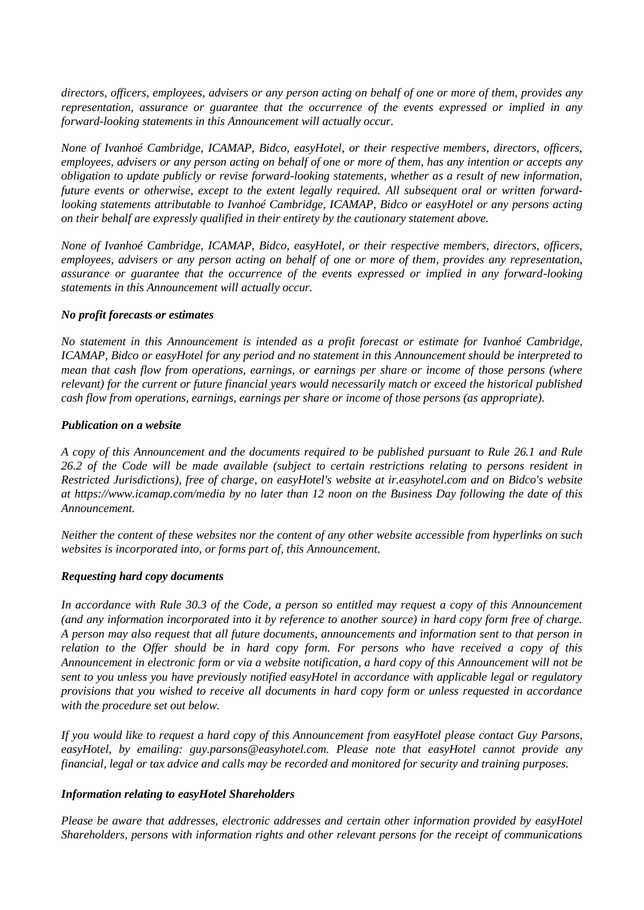*directors, officers, employees, advisers or any person acting on behalf of one or more of them, provides any representation, assurance or guarantee that the occurrence of the events expressed or implied in any forward-looking statements in this Announcement will actually occur.* 

*None of Ivanhoé Cambridge, ICAMAP, Bidco, easyHotel, or their respective members, directors, officers, employees, advisers or any person acting on behalf of one or more of them, has any intention or accepts any obligation to update publicly or revise forward-looking statements, whether as a result of new information, future events or otherwise, except to the extent legally required. All subsequent oral or written forwardlooking statements attributable to Ivanhoé Cambridge, ICAMAP, Bidco or easyHotel or any persons acting on their behalf are expressly qualified in their entirety by the cautionary statement above.*

*None of Ivanhoé Cambridge, ICAMAP, Bidco, easyHotel, or their respective members, directors, officers, employees, advisers or any person acting on behalf of one or more of them, provides any representation, assurance or guarantee that the occurrence of the events expressed or implied in any forward-looking statements in this Announcement will actually occur.*

### *No profit forecasts or estimates*

*No statement in this Announcement is intended as a profit forecast or estimate for Ivanhoé Cambridge, ICAMAP, Bidco or easyHotel for any period and no statement in this Announcement should be interpreted to mean that cash flow from operations, earnings, or earnings per share or income of those persons (where relevant) for the current or future financial years would necessarily match or exceed the historical published cash flow from operations, earnings, earnings per share or income of those persons (as appropriate).*

### *Publication on a website*

*A copy of this Announcement and the documents required to be published pursuant to Rule 26.1 and Rule 26.2 of the Code will be made available (subject to certain restrictions relating to persons resident in Restricted Jurisdictions), free of charge, on easyHotel's website at ir.easyhotel.com and on Bidco's website at https://www.icamap.com/media by no later than 12 noon on the Business Day following the date of this Announcement.*

*Neither the content of these websites nor the content of any other website accessible from hyperlinks on such websites is incorporated into, or forms part of, this Announcement.*

### *Requesting hard copy documents*

*In accordance with Rule 30.3 of the Code, a person so entitled may request a copy of this Announcement (and any information incorporated into it by reference to another source) in hard copy form free of charge. A person may also request that all future documents, announcements and information sent to that person in relation to the Offer should be in hard copy form. For persons who have received a copy of this Announcement in electronic form or via a website notification, a hard copy of this Announcement will not be sent to you unless you have previously notified easyHotel in accordance with applicable legal or regulatory provisions that you wished to receive all documents in hard copy form or unless requested in accordance with the procedure set out below.*

*If you would like to request a hard copy of this Announcement from easyHotel please contact Guy Parsons, easyHotel, by emailing: guy.parsons@easyhotel.com. Please note that easyHotel cannot provide any financial, legal or tax advice and calls may be recorded and monitored for security and training purposes.*

#### *Information relating to easyHotel Shareholders*

*Please be aware that addresses, electronic addresses and certain other information provided by easyHotel Shareholders, persons with information rights and other relevant persons for the receipt of communications*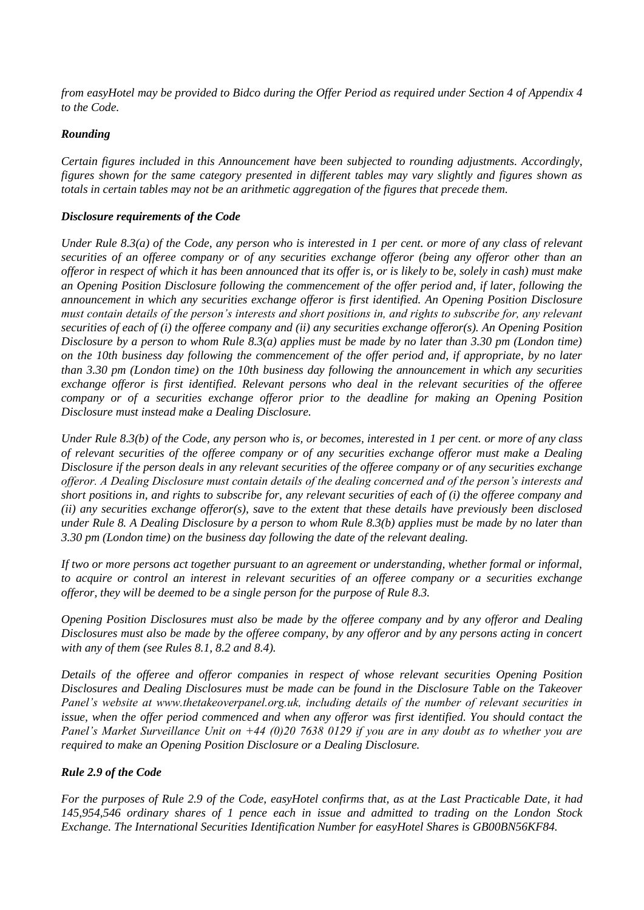*from easyHotel may be provided to Bidco during the Offer Period as required under Section 4 of Appendix 4 to the Code.*

### *Rounding*

*Certain figures included in this Announcement have been subjected to rounding adjustments. Accordingly, figures shown for the same category presented in different tables may vary slightly and figures shown as totals in certain tables may not be an arithmetic aggregation of the figures that precede them.*

### *Disclosure requirements of the Code*

*Under Rule 8.3(a) of the Code, any person who is interested in 1 per cent. or more of any class of relevant securities of an offeree company or of any securities exchange offeror (being any offeror other than an offeror in respect of which it has been announced that its offer is, or is likely to be, solely in cash) must make an Opening Position Disclosure following the commencement of the offer period and, if later, following the announcement in which any securities exchange offeror is first identified. An Opening Position Disclosure must contain details of the person's interests and short positions in, and rights to subscribe for, any relevant securities of each of (i) the offeree company and (ii) any securities exchange offeror(s). An Opening Position Disclosure by a person to whom Rule 8.3(a) applies must be made by no later than 3.30 pm (London time) on the 10th business day following the commencement of the offer period and, if appropriate, by no later than 3.30 pm (London time) on the 10th business day following the announcement in which any securities exchange offeror is first identified. Relevant persons who deal in the relevant securities of the offeree company or of a securities exchange offeror prior to the deadline for making an Opening Position Disclosure must instead make a Dealing Disclosure.*

*Under Rule 8.3(b) of the Code, any person who is, or becomes, interested in 1 per cent. or more of any class of relevant securities of the offeree company or of any securities exchange offeror must make a Dealing Disclosure if the person deals in any relevant securities of the offeree company or of any securities exchange offeror. A Dealing Disclosure must contain details of the dealing concerned and of the person's interests and short positions in, and rights to subscribe for, any relevant securities of each of (i) the offeree company and (ii) any securities exchange offeror(s), save to the extent that these details have previously been disclosed under Rule 8. A Dealing Disclosure by a person to whom Rule 8.3(b) applies must be made by no later than 3.30 pm (London time) on the business day following the date of the relevant dealing.* 

*If two or more persons act together pursuant to an agreement or understanding, whether formal or informal, to acquire or control an interest in relevant securities of an offeree company or a securities exchange offeror, they will be deemed to be a single person for the purpose of Rule 8.3.*

*Opening Position Disclosures must also be made by the offeree company and by any offeror and Dealing Disclosures must also be made by the offeree company, by any offeror and by any persons acting in concert with any of them (see Rules 8.1, 8.2 and 8.4).*

*Details of the offeree and offeror companies in respect of whose relevant securities Opening Position Disclosures and Dealing Disclosures must be made can be found in the Disclosure Table on the Takeover Panel's website at www.thetakeoverpanel.org.uk, including details of the number of relevant securities in issue, when the offer period commenced and when any offeror was first identified. You should contact the Panel's Market Surveillance Unit on +44 (0)20 7638 0129 if you are in any doubt as to whether you are required to make an Opening Position Disclosure or a Dealing Disclosure.*

### *Rule 2.9 of the Code*

*For the purposes of Rule 2.9 of the Code, easyHotel confirms that, as at the Last Practicable Date, it had 145,954,546 ordinary shares of 1 pence each in issue and admitted to trading on the London Stock Exchange. The International Securities Identification Number for easyHotel Shares is GB00BN56KF84.*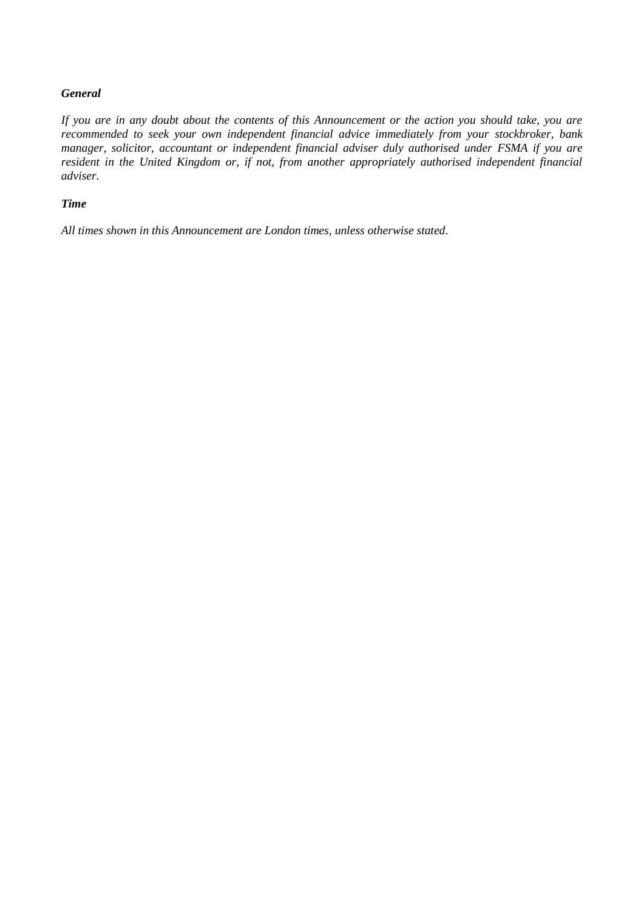# *General*

*If you are in any doubt about the contents of this Announcement or the action you should take, you are recommended to seek your own independent financial advice immediately from your stockbroker, bank manager, solicitor, accountant or independent financial adviser duly authorised under FSMA if you are resident in the United Kingdom or, if not, from another appropriately authorised independent financial adviser.*

# *Time*

*All times shown in this Announcement are London times, unless otherwise stated.*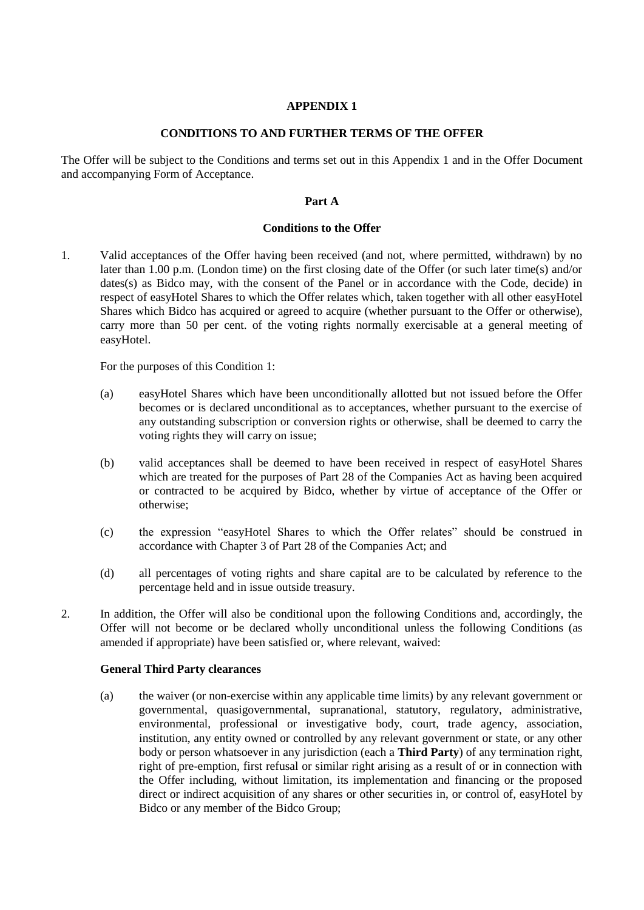### **CONDITIONS TO AND FURTHER TERMS OF THE OFFER**

<span id="page-26-1"></span><span id="page-26-0"></span>The Offer will be subject to the Conditions and terms set out in this Appendix 1 and in the Offer Document and accompanying Form of Acceptance.

# **Part A**

### **Conditions to the Offer**

1. Valid acceptances of the Offer having been received (and not, where permitted, withdrawn) by no later than 1.00 p.m. (London time) on the first closing date of the Offer (or such later time(s) and/or dates(s) as Bidco may, with the consent of the Panel or in accordance with the Code, decide) in respect of easyHotel Shares to which the Offer relates which, taken together with all other easyHotel Shares which Bidco has acquired or agreed to acquire (whether pursuant to the Offer or otherwise), carry more than 50 per cent. of the voting rights normally exercisable at a general meeting of easyHotel.

For the purposes of this Condition 1:

- (a) easyHotel Shares which have been unconditionally allotted but not issued before the Offer becomes or is declared unconditional as to acceptances, whether pursuant to the exercise of any outstanding subscription or conversion rights or otherwise, shall be deemed to carry the voting rights they will carry on issue;
- (b) valid acceptances shall be deemed to have been received in respect of easyHotel Shares which are treated for the purposes of Part 28 of the Companies Act as having been acquired or contracted to be acquired by Bidco, whether by virtue of acceptance of the Offer or otherwise;
- (c) the expression "easyHotel Shares to which the Offer relates" should be construed in accordance with Chapter 3 of Part 28 of the Companies Act; and
- (d) all percentages of voting rights and share capital are to be calculated by reference to the percentage held and in issue outside treasury.
- 2. In addition, the Offer will also be conditional upon the following Conditions and, accordingly, the Offer will not become or be declared wholly unconditional unless the following Conditions (as amended if appropriate) have been satisfied or, where relevant, waived:

### **General Third Party clearances**

(a) the waiver (or non-exercise within any applicable time limits) by any relevant government or governmental, quasigovernmental, supranational, statutory, regulatory, administrative, environmental, professional or investigative body, court, trade agency, association, institution, any entity owned or controlled by any relevant government or state, or any other body or person whatsoever in any jurisdiction (each a **Third Party**) of any termination right, right of pre-emption, first refusal or similar right arising as a result of or in connection with the Offer including, without limitation, its implementation and financing or the proposed direct or indirect acquisition of any shares or other securities in, or control of, easyHotel by Bidco or any member of the Bidco Group;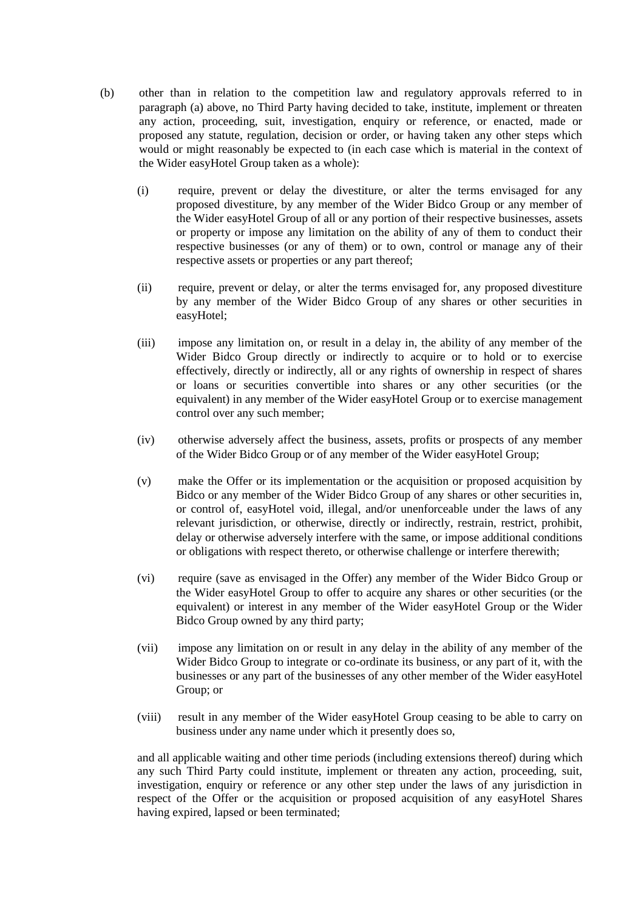- (b) other than in relation to the competition law and regulatory approvals referred to in paragraph (a) above, no Third Party having decided to take, institute, implement or threaten any action, proceeding, suit, investigation, enquiry or reference, or enacted, made or proposed any statute, regulation, decision or order, or having taken any other steps which would or might reasonably be expected to (in each case which is material in the context of the Wider easyHotel Group taken as a whole):
	- (i) require, prevent or delay the divestiture, or alter the terms envisaged for any proposed divestiture, by any member of the Wider Bidco Group or any member of the Wider easyHotel Group of all or any portion of their respective businesses, assets or property or impose any limitation on the ability of any of them to conduct their respective businesses (or any of them) or to own, control or manage any of their respective assets or properties or any part thereof;
	- (ii) require, prevent or delay, or alter the terms envisaged for, any proposed divestiture by any member of the Wider Bidco Group of any shares or other securities in easyHotel;
	- (iii) impose any limitation on, or result in a delay in, the ability of any member of the Wider Bidco Group directly or indirectly to acquire or to hold or to exercise effectively, directly or indirectly, all or any rights of ownership in respect of shares or loans or securities convertible into shares or any other securities (or the equivalent) in any member of the Wider easyHotel Group or to exercise management control over any such member;
	- (iv) otherwise adversely affect the business, assets, profits or prospects of any member of the Wider Bidco Group or of any member of the Wider easyHotel Group;
	- (v) make the Offer or its implementation or the acquisition or proposed acquisition by Bidco or any member of the Wider Bidco Group of any shares or other securities in, or control of, easyHotel void, illegal, and/or unenforceable under the laws of any relevant jurisdiction, or otherwise, directly or indirectly, restrain, restrict, prohibit, delay or otherwise adversely interfere with the same, or impose additional conditions or obligations with respect thereto, or otherwise challenge or interfere therewith;
	- (vi) require (save as envisaged in the Offer) any member of the Wider Bidco Group or the Wider easyHotel Group to offer to acquire any shares or other securities (or the equivalent) or interest in any member of the Wider easyHotel Group or the Wider Bidco Group owned by any third party;
	- (vii) impose any limitation on or result in any delay in the ability of any member of the Wider Bidco Group to integrate or co-ordinate its business, or any part of it, with the businesses or any part of the businesses of any other member of the Wider easyHotel Group; or
	- (viii) result in any member of the Wider easyHotel Group ceasing to be able to carry on business under any name under which it presently does so,

and all applicable waiting and other time periods (including extensions thereof) during which any such Third Party could institute, implement or threaten any action, proceeding, suit, investigation, enquiry or reference or any other step under the laws of any jurisdiction in respect of the Offer or the acquisition or proposed acquisition of any easyHotel Shares having expired, lapsed or been terminated;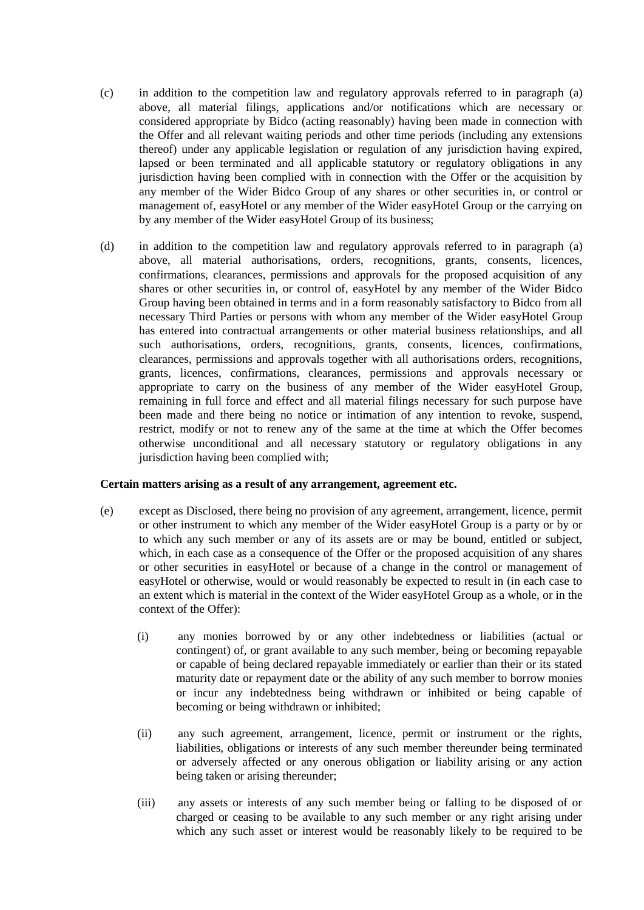- (c) in addition to the competition law and regulatory approvals referred to in paragraph (a) above, all material filings, applications and/or notifications which are necessary or considered appropriate by Bidco (acting reasonably) having been made in connection with the Offer and all relevant waiting periods and other time periods (including any extensions thereof) under any applicable legislation or regulation of any jurisdiction having expired, lapsed or been terminated and all applicable statutory or regulatory obligations in any jurisdiction having been complied with in connection with the Offer or the acquisition by any member of the Wider Bidco Group of any shares or other securities in, or control or management of, easyHotel or any member of the Wider easyHotel Group or the carrying on by any member of the Wider easyHotel Group of its business;
- (d) in addition to the competition law and regulatory approvals referred to in paragraph (a) above, all material authorisations, orders, recognitions, grants, consents, licences, confirmations, clearances, permissions and approvals for the proposed acquisition of any shares or other securities in, or control of, easyHotel by any member of the Wider Bidco Group having been obtained in terms and in a form reasonably satisfactory to Bidco from all necessary Third Parties or persons with whom any member of the Wider easyHotel Group has entered into contractual arrangements or other material business relationships, and all such authorisations, orders, recognitions, grants, consents, licences, confirmations, clearances, permissions and approvals together with all authorisations orders, recognitions, grants, licences, confirmations, clearances, permissions and approvals necessary or appropriate to carry on the business of any member of the Wider easyHotel Group, remaining in full force and effect and all material filings necessary for such purpose have been made and there being no notice or intimation of any intention to revoke, suspend, restrict, modify or not to renew any of the same at the time at which the Offer becomes otherwise unconditional and all necessary statutory or regulatory obligations in any jurisdiction having been complied with;

### **Certain matters arising as a result of any arrangement, agreement etc.**

- (e) except as Disclosed, there being no provision of any agreement, arrangement, licence, permit or other instrument to which any member of the Wider easyHotel Group is a party or by or to which any such member or any of its assets are or may be bound, entitled or subject, which, in each case as a consequence of the Offer or the proposed acquisition of any shares or other securities in easyHotel or because of a change in the control or management of easyHotel or otherwise, would or would reasonably be expected to result in (in each case to an extent which is material in the context of the Wider easyHotel Group as a whole, or in the context of the Offer):
	- (i) any monies borrowed by or any other indebtedness or liabilities (actual or contingent) of, or grant available to any such member, being or becoming repayable or capable of being declared repayable immediately or earlier than their or its stated maturity date or repayment date or the ability of any such member to borrow monies or incur any indebtedness being withdrawn or inhibited or being capable of becoming or being withdrawn or inhibited;
	- (ii) any such agreement, arrangement, licence, permit or instrument or the rights, liabilities, obligations or interests of any such member thereunder being terminated or adversely affected or any onerous obligation or liability arising or any action being taken or arising thereunder;
	- (iii) any assets or interests of any such member being or falling to be disposed of or charged or ceasing to be available to any such member or any right arising under which any such asset or interest would be reasonably likely to be required to be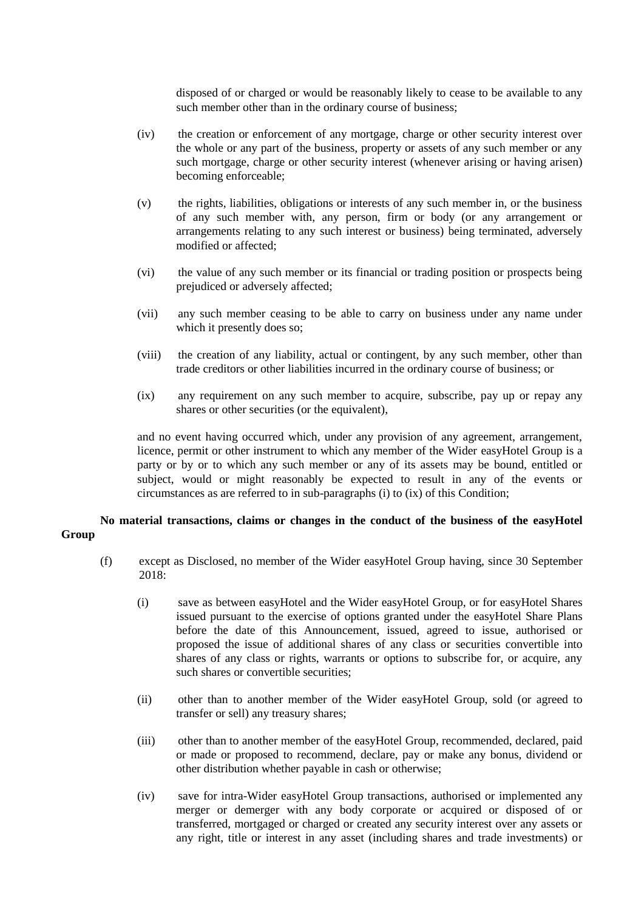disposed of or charged or would be reasonably likely to cease to be available to any such member other than in the ordinary course of business;

- (iv) the creation or enforcement of any mortgage, charge or other security interest over the whole or any part of the business, property or assets of any such member or any such mortgage, charge or other security interest (whenever arising or having arisen) becoming enforceable;
- (v) the rights, liabilities, obligations or interests of any such member in, or the business of any such member with, any person, firm or body (or any arrangement or arrangements relating to any such interest or business) being terminated, adversely modified or affected;
- (vi) the value of any such member or its financial or trading position or prospects being prejudiced or adversely affected;
- (vii) any such member ceasing to be able to carry on business under any name under which it presently does so;
- (viii) the creation of any liability, actual or contingent, by any such member, other than trade creditors or other liabilities incurred in the ordinary course of business; or
- (ix) any requirement on any such member to acquire, subscribe, pay up or repay any shares or other securities (or the equivalent),

and no event having occurred which, under any provision of any agreement, arrangement, licence, permit or other instrument to which any member of the Wider easyHotel Group is a party or by or to which any such member or any of its assets may be bound, entitled or subject, would or might reasonably be expected to result in any of the events or circumstances as are referred to in sub-paragraphs (i) to (ix) of this Condition;

# **No material transactions, claims or changes in the conduct of the business of the easyHotel Group**

- (f) except as Disclosed, no member of the Wider easyHotel Group having, since 30 September 2018:
	- (i) save as between easyHotel and the Wider easyHotel Group, or for easyHotel Shares issued pursuant to the exercise of options granted under the easyHotel Share Plans before the date of this Announcement, issued, agreed to issue, authorised or proposed the issue of additional shares of any class or securities convertible into shares of any class or rights, warrants or options to subscribe for, or acquire, any such shares or convertible securities;
	- (ii) other than to another member of the Wider easyHotel Group, sold (or agreed to transfer or sell) any treasury shares;
	- (iii) other than to another member of the easyHotel Group, recommended, declared, paid or made or proposed to recommend, declare, pay or make any bonus, dividend or other distribution whether payable in cash or otherwise;
	- (iv) save for intra-Wider easyHotel Group transactions, authorised or implemented any merger or demerger with any body corporate or acquired or disposed of or transferred, mortgaged or charged or created any security interest over any assets or any right, title or interest in any asset (including shares and trade investments) or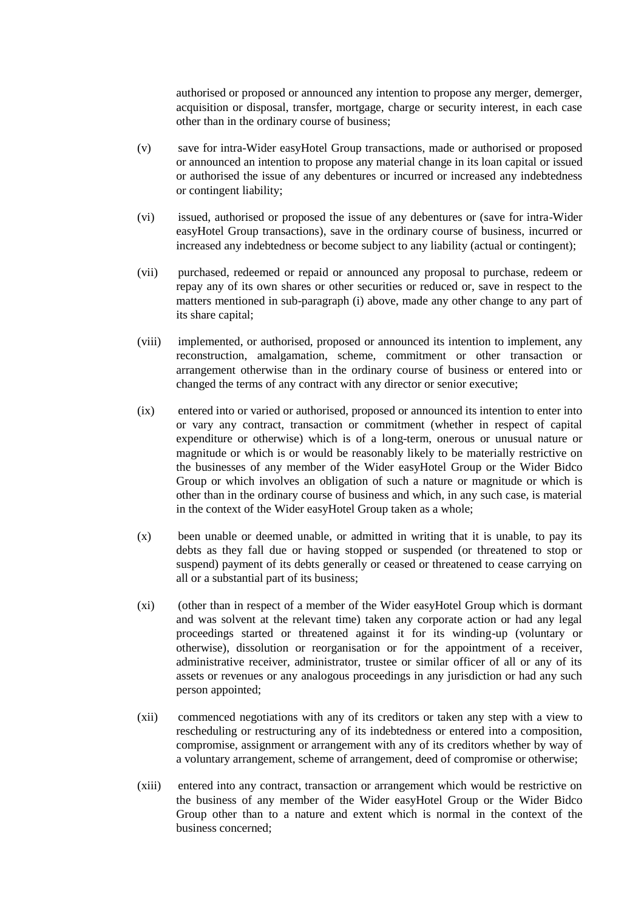authorised or proposed or announced any intention to propose any merger, demerger, acquisition or disposal, transfer, mortgage, charge or security interest, in each case other than in the ordinary course of business;

- (v) save for intra-Wider easyHotel Group transactions, made or authorised or proposed or announced an intention to propose any material change in its loan capital or issued or authorised the issue of any debentures or incurred or increased any indebtedness or contingent liability;
- (vi) issued, authorised or proposed the issue of any debentures or (save for intra-Wider easyHotel Group transactions), save in the ordinary course of business, incurred or increased any indebtedness or become subject to any liability (actual or contingent);
- (vii) purchased, redeemed or repaid or announced any proposal to purchase, redeem or repay any of its own shares or other securities or reduced or, save in respect to the matters mentioned in sub-paragraph (i) above, made any other change to any part of its share capital;
- (viii) implemented, or authorised, proposed or announced its intention to implement, any reconstruction, amalgamation, scheme, commitment or other transaction or arrangement otherwise than in the ordinary course of business or entered into or changed the terms of any contract with any director or senior executive;
- (ix) entered into or varied or authorised, proposed or announced its intention to enter into or vary any contract, transaction or commitment (whether in respect of capital expenditure or otherwise) which is of a long-term, onerous or unusual nature or magnitude or which is or would be reasonably likely to be materially restrictive on the businesses of any member of the Wider easyHotel Group or the Wider Bidco Group or which involves an obligation of such a nature or magnitude or which is other than in the ordinary course of business and which, in any such case, is material in the context of the Wider easyHotel Group taken as a whole;
- (x) been unable or deemed unable, or admitted in writing that it is unable, to pay its debts as they fall due or having stopped or suspended (or threatened to stop or suspend) payment of its debts generally or ceased or threatened to cease carrying on all or a substantial part of its business;
- (xi) (other than in respect of a member of the Wider easyHotel Group which is dormant and was solvent at the relevant time) taken any corporate action or had any legal proceedings started or threatened against it for its winding-up (voluntary or otherwise), dissolution or reorganisation or for the appointment of a receiver, administrative receiver, administrator, trustee or similar officer of all or any of its assets or revenues or any analogous proceedings in any jurisdiction or had any such person appointed;
- (xii) commenced negotiations with any of its creditors or taken any step with a view to rescheduling or restructuring any of its indebtedness or entered into a composition, compromise, assignment or arrangement with any of its creditors whether by way of a voluntary arrangement, scheme of arrangement, deed of compromise or otherwise;
- (xiii) entered into any contract, transaction or arrangement which would be restrictive on the business of any member of the Wider easyHotel Group or the Wider Bidco Group other than to a nature and extent which is normal in the context of the business concerned;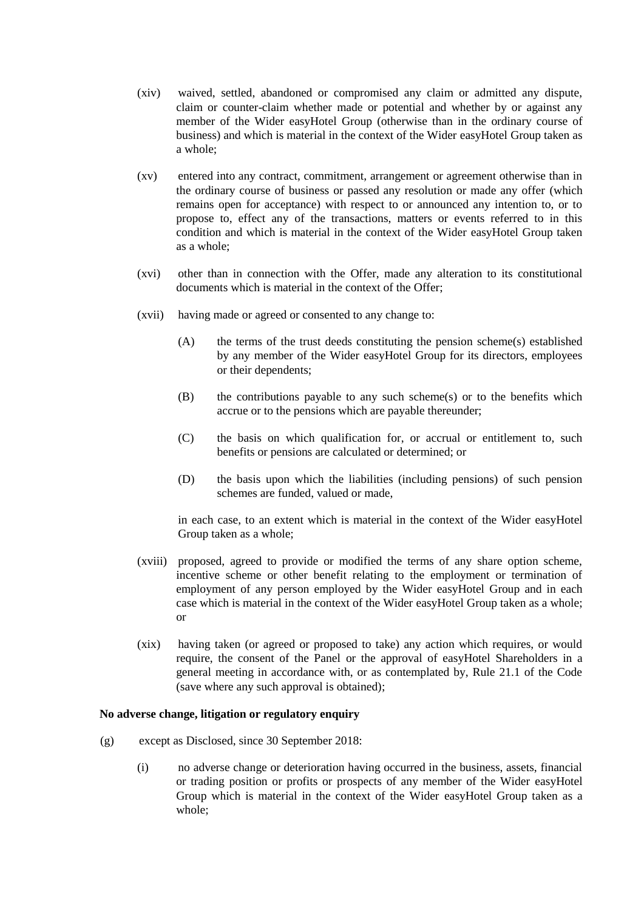- (xiv) waived, settled, abandoned or compromised any claim or admitted any dispute, claim or counter-claim whether made or potential and whether by or against any member of the Wider easyHotel Group (otherwise than in the ordinary course of business) and which is material in the context of the Wider easyHotel Group taken as a whole;
- (xv) entered into any contract, commitment, arrangement or agreement otherwise than in the ordinary course of business or passed any resolution or made any offer (which remains open for acceptance) with respect to or announced any intention to, or to propose to, effect any of the transactions, matters or events referred to in this condition and which is material in the context of the Wider easyHotel Group taken as a whole;
- (xvi) other than in connection with the Offer, made any alteration to its constitutional documents which is material in the context of the Offer;
- (xvii) having made or agreed or consented to any change to:
	- (A) the terms of the trust deeds constituting the pension scheme(s) established by any member of the Wider easyHotel Group for its directors, employees or their dependents;
	- (B) the contributions payable to any such scheme(s) or to the benefits which accrue or to the pensions which are payable thereunder;
	- (C) the basis on which qualification for, or accrual or entitlement to, such benefits or pensions are calculated or determined; or
	- (D) the basis upon which the liabilities (including pensions) of such pension schemes are funded, valued or made,

in each case, to an extent which is material in the context of the Wider easyHotel Group taken as a whole;

- (xviii) proposed, agreed to provide or modified the terms of any share option scheme, incentive scheme or other benefit relating to the employment or termination of employment of any person employed by the Wider easyHotel Group and in each case which is material in the context of the Wider easyHotel Group taken as a whole; or
- (xix) having taken (or agreed or proposed to take) any action which requires, or would require, the consent of the Panel or the approval of easyHotel Shareholders in a general meeting in accordance with, or as contemplated by, Rule 21.1 of the Code (save where any such approval is obtained);

#### **No adverse change, litigation or regulatory enquiry**

- (g) except as Disclosed, since 30 September 2018:
	- (i) no adverse change or deterioration having occurred in the business, assets, financial or trading position or profits or prospects of any member of the Wider easyHotel Group which is material in the context of the Wider easyHotel Group taken as a whole;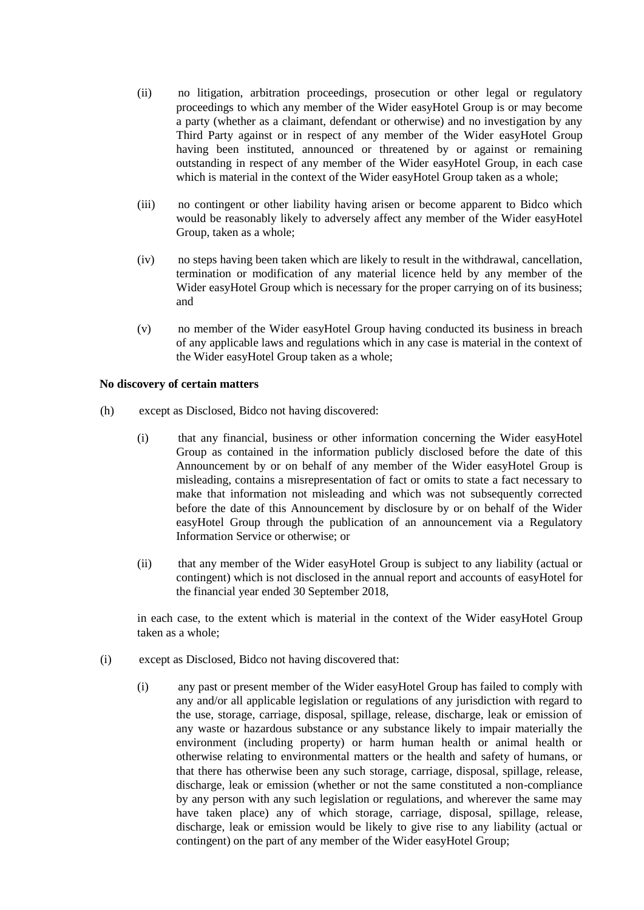- (ii) no litigation, arbitration proceedings, prosecution or other legal or regulatory proceedings to which any member of the Wider easyHotel Group is or may become a party (whether as a claimant, defendant or otherwise) and no investigation by any Third Party against or in respect of any member of the Wider easyHotel Group having been instituted, announced or threatened by or against or remaining outstanding in respect of any member of the Wider easyHotel Group, in each case which is material in the context of the Wider easyHotel Group taken as a whole;
- (iii) no contingent or other liability having arisen or become apparent to Bidco which would be reasonably likely to adversely affect any member of the Wider easyHotel Group, taken as a whole;
- (iv) no steps having been taken which are likely to result in the withdrawal, cancellation, termination or modification of any material licence held by any member of the Wider easyHotel Group which is necessary for the proper carrying on of its business; and
- (v) no member of the Wider easyHotel Group having conducted its business in breach of any applicable laws and regulations which in any case is material in the context of the Wider easyHotel Group taken as a whole;

### **No discovery of certain matters**

- (h) except as Disclosed, Bidco not having discovered:
	- (i) that any financial, business or other information concerning the Wider easyHotel Group as contained in the information publicly disclosed before the date of this Announcement by or on behalf of any member of the Wider easyHotel Group is misleading, contains a misrepresentation of fact or omits to state a fact necessary to make that information not misleading and which was not subsequently corrected before the date of this Announcement by disclosure by or on behalf of the Wider easyHotel Group through the publication of an announcement via a Regulatory Information Service or otherwise; or
	- (ii) that any member of the Wider easyHotel Group is subject to any liability (actual or contingent) which is not disclosed in the annual report and accounts of easyHotel for the financial year ended 30 September 2018,

in each case, to the extent which is material in the context of the Wider easyHotel Group taken as a whole;

- (i) except as Disclosed, Bidco not having discovered that:
	- (i) any past or present member of the Wider easyHotel Group has failed to comply with any and/or all applicable legislation or regulations of any jurisdiction with regard to the use, storage, carriage, disposal, spillage, release, discharge, leak or emission of any waste or hazardous substance or any substance likely to impair materially the environment (including property) or harm human health or animal health or otherwise relating to environmental matters or the health and safety of humans, or that there has otherwise been any such storage, carriage, disposal, spillage, release, discharge, leak or emission (whether or not the same constituted a non-compliance by any person with any such legislation or regulations, and wherever the same may have taken place) any of which storage, carriage, disposal, spillage, release, discharge, leak or emission would be likely to give rise to any liability (actual or contingent) on the part of any member of the Wider easyHotel Group;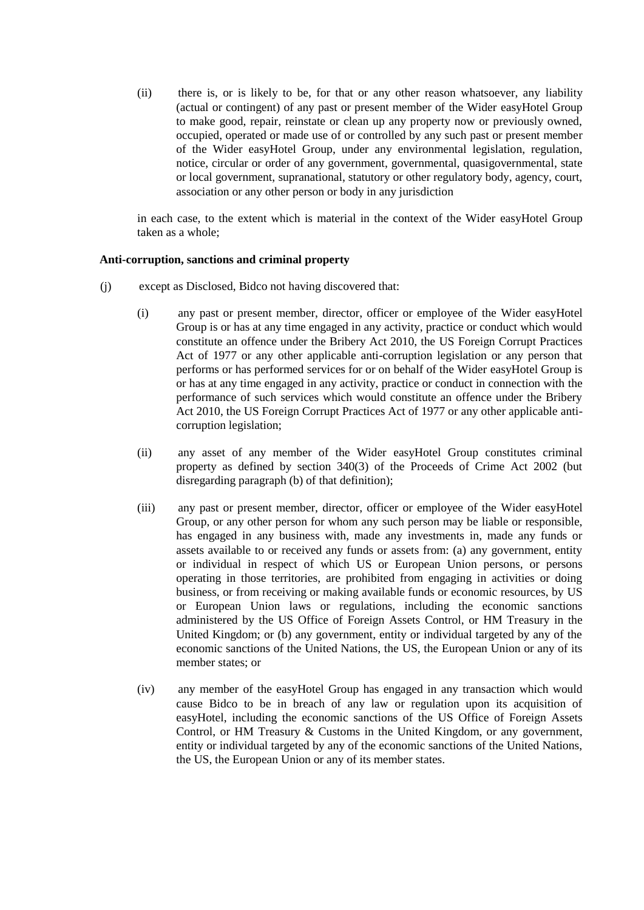(ii) there is, or is likely to be, for that or any other reason whatsoever, any liability (actual or contingent) of any past or present member of the Wider easyHotel Group to make good, repair, reinstate or clean up any property now or previously owned, occupied, operated or made use of or controlled by any such past or present member of the Wider easyHotel Group, under any environmental legislation, regulation, notice, circular or order of any government, governmental, quasigovernmental, state or local government, supranational, statutory or other regulatory body, agency, court, association or any other person or body in any jurisdiction

in each case, to the extent which is material in the context of the Wider easyHotel Group taken as a whole;

### **Anti-corruption, sanctions and criminal property**

- (j) except as Disclosed, Bidco not having discovered that:
	- (i) any past or present member, director, officer or employee of the Wider easyHotel Group is or has at any time engaged in any activity, practice or conduct which would constitute an offence under the Bribery Act 2010, the US Foreign Corrupt Practices Act of 1977 or any other applicable anti-corruption legislation or any person that performs or has performed services for or on behalf of the Wider easyHotel Group is or has at any time engaged in any activity, practice or conduct in connection with the performance of such services which would constitute an offence under the Bribery Act 2010, the US Foreign Corrupt Practices Act of 1977 or any other applicable anticorruption legislation;
	- (ii) any asset of any member of the Wider easyHotel Group constitutes criminal property as defined by section 340(3) of the Proceeds of Crime Act 2002 (but disregarding paragraph (b) of that definition);
	- (iii) any past or present member, director, officer or employee of the Wider easyHotel Group, or any other person for whom any such person may be liable or responsible, has engaged in any business with, made any investments in, made any funds or assets available to or received any funds or assets from: (a) any government, entity or individual in respect of which US or European Union persons, or persons operating in those territories, are prohibited from engaging in activities or doing business, or from receiving or making available funds or economic resources, by US or European Union laws or regulations, including the economic sanctions administered by the US Office of Foreign Assets Control, or HM Treasury in the United Kingdom; or (b) any government, entity or individual targeted by any of the economic sanctions of the United Nations, the US, the European Union or any of its member states; or
	- (iv) any member of the easyHotel Group has engaged in any transaction which would cause Bidco to be in breach of any law or regulation upon its acquisition of easyHotel, including the economic sanctions of the US Office of Foreign Assets Control, or HM Treasury & Customs in the United Kingdom, or any government, entity or individual targeted by any of the economic sanctions of the United Nations, the US, the European Union or any of its member states.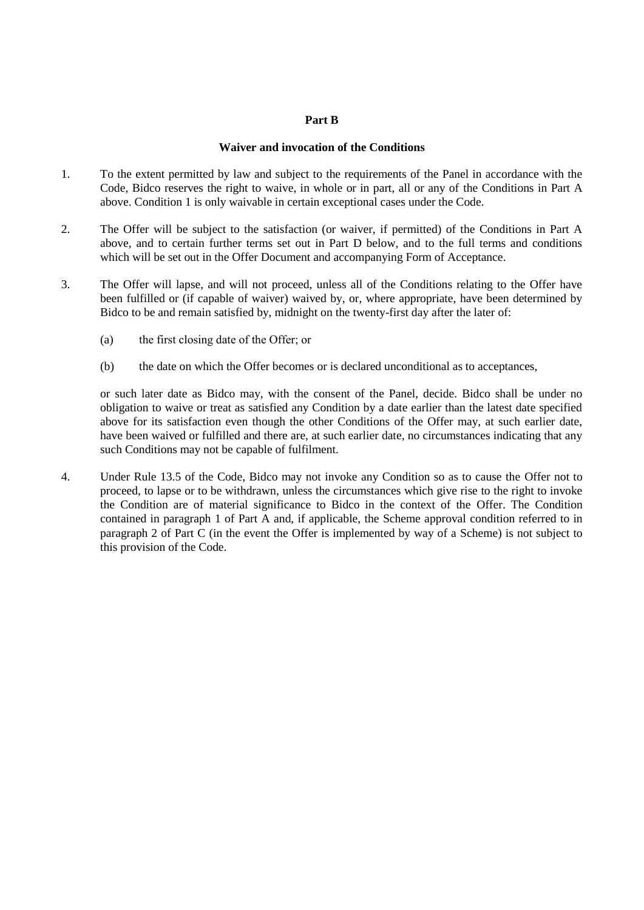### **Part B**

### **Waiver and invocation of the Conditions**

- 1. To the extent permitted by law and subject to the requirements of the Panel in accordance with the Code, Bidco reserves the right to waive, in whole or in part, all or any of the Conditions in Part A above. Condition 1 is only waivable in certain exceptional cases under the Code.
- 2. The Offer will be subject to the satisfaction (or waiver, if permitted) of the Conditions in Part A above, and to certain further terms set out in Part D below, and to the full terms and conditions which will be set out in the Offer Document and accompanying Form of Acceptance.
- 3. The Offer will lapse, and will not proceed, unless all of the Conditions relating to the Offer have been fulfilled or (if capable of waiver) waived by, or, where appropriate, have been determined by Bidco to be and remain satisfied by, midnight on the twenty-first day after the later of:
	- (a) the first closing date of the Offer; or
	- (b) the date on which the Offer becomes or is declared unconditional as to acceptances,

or such later date as Bidco may, with the consent of the Panel, decide. Bidco shall be under no obligation to waive or treat as satisfied any Condition by a date earlier than the latest date specified above for its satisfaction even though the other Conditions of the Offer may, at such earlier date, have been waived or fulfilled and there are, at such earlier date, no circumstances indicating that any such Conditions may not be capable of fulfilment.

4. Under Rule 13.5 of the Code, Bidco may not invoke any Condition so as to cause the Offer not to proceed, to lapse or to be withdrawn, unless the circumstances which give rise to the right to invoke the Condition are of material significance to Bidco in the context of the Offer. The Condition contained in paragraph 1 of Part A and, if applicable, the Scheme approval condition referred to in paragraph 2 of Part C (in the event the Offer is implemented by way of a Scheme) is not subject to this provision of the Code.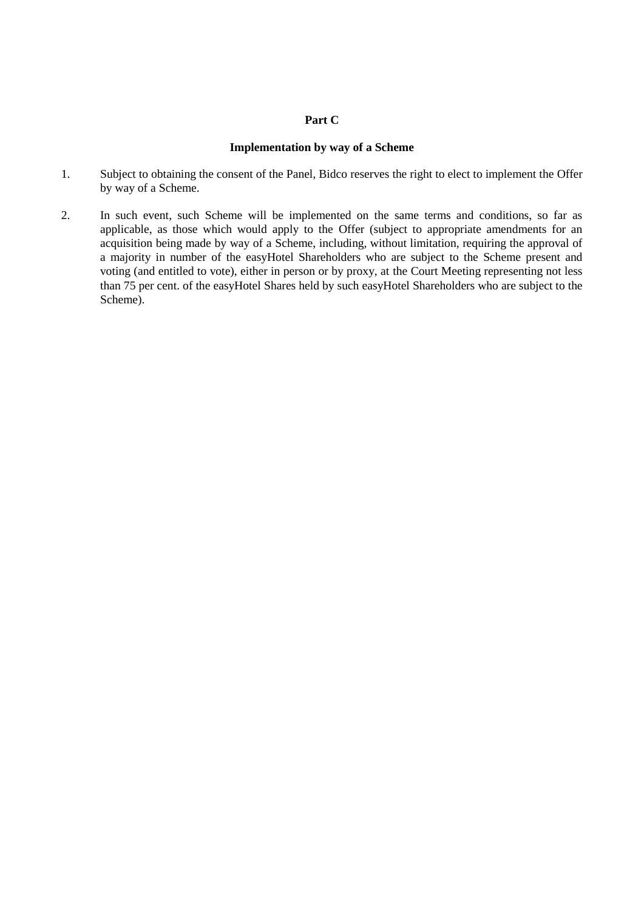# **Part C**

#### **Implementation by way of a Scheme**

- 1. Subject to obtaining the consent of the Panel, Bidco reserves the right to elect to implement the Offer by way of a Scheme.
- 2. In such event, such Scheme will be implemented on the same terms and conditions, so far as applicable, as those which would apply to the Offer (subject to appropriate amendments for an acquisition being made by way of a Scheme, including, without limitation, requiring the approval of a majority in number of the easyHotel Shareholders who are subject to the Scheme present and voting (and entitled to vote), either in person or by proxy, at the Court Meeting representing not less than 75 per cent. of the easyHotel Shares held by such easyHotel Shareholders who are subject to the Scheme).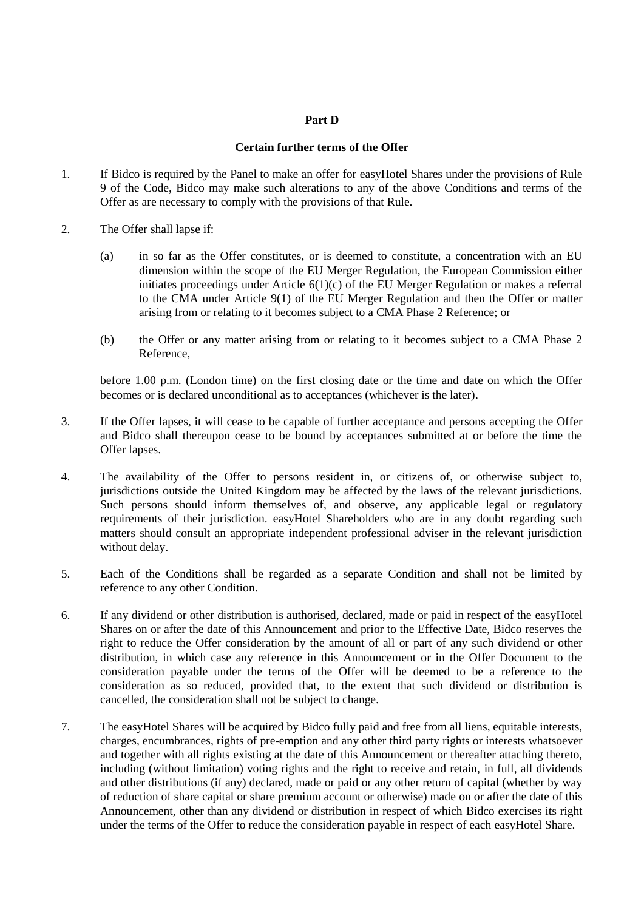### **Part D**

# **Certain further terms of the Offer**

- 1. If Bidco is required by the Panel to make an offer for easyHotel Shares under the provisions of Rule 9 of the Code, Bidco may make such alterations to any of the above Conditions and terms of the Offer as are necessary to comply with the provisions of that Rule.
- 2. The Offer shall lapse if:
	- (a) in so far as the Offer constitutes, or is deemed to constitute, a concentration with an EU dimension within the scope of the EU Merger Regulation, the European Commission either initiates proceedings under Article 6(1)(c) of the EU Merger Regulation or makes a referral to the CMA under Article 9(1) of the EU Merger Regulation and then the Offer or matter arising from or relating to it becomes subject to a CMA Phase 2 Reference; or
	- (b) the Offer or any matter arising from or relating to it becomes subject to a CMA Phase 2 Reference,

before 1.00 p.m. (London time) on the first closing date or the time and date on which the Offer becomes or is declared unconditional as to acceptances (whichever is the later).

- 3. If the Offer lapses, it will cease to be capable of further acceptance and persons accepting the Offer and Bidco shall thereupon cease to be bound by acceptances submitted at or before the time the Offer lapses.
- 4. The availability of the Offer to persons resident in, or citizens of, or otherwise subject to, jurisdictions outside the United Kingdom may be affected by the laws of the relevant jurisdictions. Such persons should inform themselves of, and observe, any applicable legal or regulatory requirements of their jurisdiction. easyHotel Shareholders who are in any doubt regarding such matters should consult an appropriate independent professional adviser in the relevant jurisdiction without delay.
- 5. Each of the Conditions shall be regarded as a separate Condition and shall not be limited by reference to any other Condition.
- 6. If any dividend or other distribution is authorised, declared, made or paid in respect of the easyHotel Shares on or after the date of this Announcement and prior to the Effective Date, Bidco reserves the right to reduce the Offer consideration by the amount of all or part of any such dividend or other distribution, in which case any reference in this Announcement or in the Offer Document to the consideration payable under the terms of the Offer will be deemed to be a reference to the consideration as so reduced, provided that, to the extent that such dividend or distribution is cancelled, the consideration shall not be subject to change.
- 7. The easyHotel Shares will be acquired by Bidco fully paid and free from all liens, equitable interests, charges, encumbrances, rights of pre-emption and any other third party rights or interests whatsoever and together with all rights existing at the date of this Announcement or thereafter attaching thereto, including (without limitation) voting rights and the right to receive and retain, in full, all dividends and other distributions (if any) declared, made or paid or any other return of capital (whether by way of reduction of share capital or share premium account or otherwise) made on or after the date of this Announcement, other than any dividend or distribution in respect of which Bidco exercises its right under the terms of the Offer to reduce the consideration payable in respect of each easyHotel Share.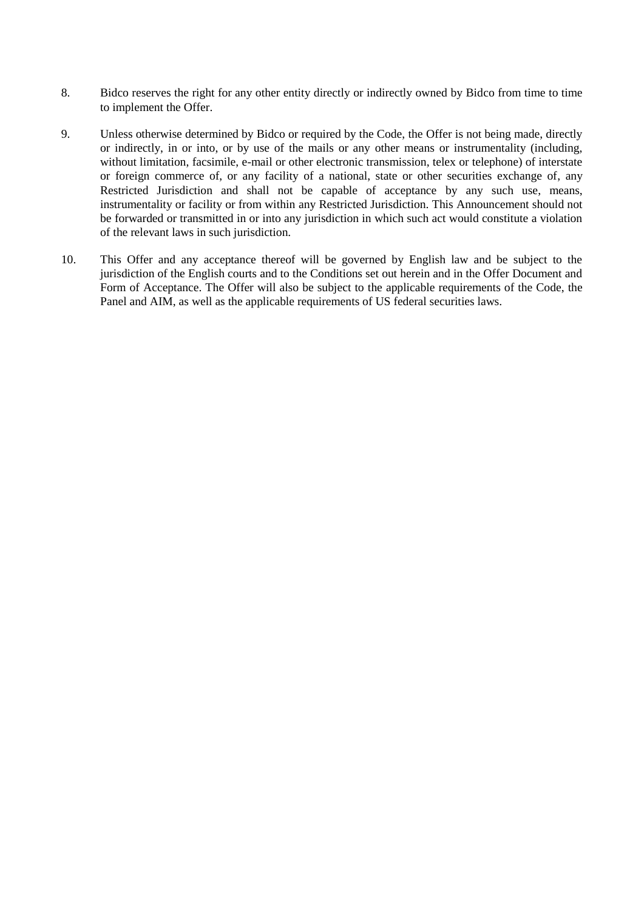- 8. Bidco reserves the right for any other entity directly or indirectly owned by Bidco from time to time to implement the Offer.
- 9. Unless otherwise determined by Bidco or required by the Code, the Offer is not being made, directly or indirectly, in or into, or by use of the mails or any other means or instrumentality (including, without limitation, facsimile, e-mail or other electronic transmission, telex or telephone) of interstate or foreign commerce of, or any facility of a national, state or other securities exchange of, any Restricted Jurisdiction and shall not be capable of acceptance by any such use, means, instrumentality or facility or from within any Restricted Jurisdiction. This Announcement should not be forwarded or transmitted in or into any jurisdiction in which such act would constitute a violation of the relevant laws in such jurisdiction.
- 10. This Offer and any acceptance thereof will be governed by English law and be subject to the jurisdiction of the English courts and to the Conditions set out herein and in the Offer Document and Form of Acceptance. The Offer will also be subject to the applicable requirements of the Code, the Panel and AIM, as well as the applicable requirements of US federal securities laws.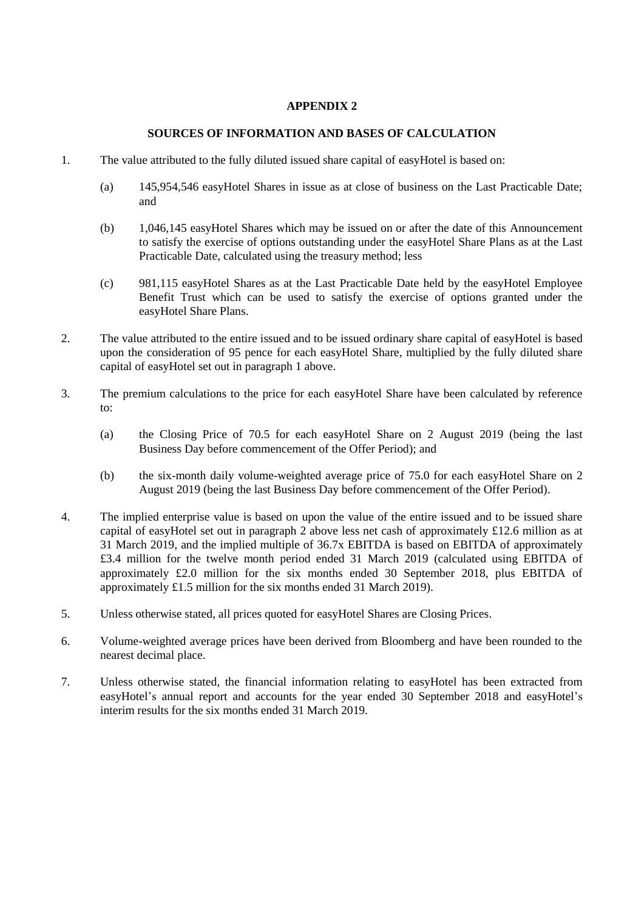# **SOURCES OF INFORMATION AND BASES OF CALCULATION**

- <span id="page-38-1"></span><span id="page-38-0"></span>1. The value attributed to the fully diluted issued share capital of easyHotel is based on:
	- (a) 145,954,546 easyHotel Shares in issue as at close of business on the Last Practicable Date; and
	- (b) 1,046,145 easyHotel Shares which may be issued on or after the date of this Announcement to satisfy the exercise of options outstanding under the easyHotel Share Plans as at the Last Practicable Date, calculated using the treasury method; less
	- (c) 981,115 easyHotel Shares as at the Last Practicable Date held by the easyHotel Employee Benefit Trust which can be used to satisfy the exercise of options granted under the easyHotel Share Plans.
- <span id="page-38-2"></span>2. The value attributed to the entire issued and to be issued ordinary share capital of easyHotel is based upon the consideration of 95 pence for each easyHotel Share, multiplied by the fully diluted share capital of easyHotel set out in paragraph [1](#page-38-1) above.
- 3. The premium calculations to the price for each easyHotel Share have been calculated by reference to:
	- (a) the Closing Price of 70.5 for each easyHotel Share on 2 August 2019 (being the last Business Day before commencement of the Offer Period); and
	- (b) the six-month daily volume-weighted average price of 75.0 for each easyHotel Share on 2 August 2019 (being the last Business Day before commencement of the Offer Period).
- 4. The implied enterprise value is based on upon the value of the entire issued and to be issued share capital of easyHotel set out in paragraph [2](#page-38-2) above less net cash of approximately £12.6 million as at 31 March 2019, and the implied multiple of 36.7x EBITDA is based on EBITDA of approximately £3.4 million for the twelve month period ended 31 March 2019 (calculated using EBITDA of approximately £2.0 million for the six months ended 30 September 2018, plus EBITDA of approximately £1.5 million for the six months ended 31 March 2019).
- 5. Unless otherwise stated, all prices quoted for easyHotel Shares are Closing Prices.
- 6. Volume-weighted average prices have been derived from Bloomberg and have been rounded to the nearest decimal place.
- 7. Unless otherwise stated, the financial information relating to easyHotel has been extracted from easyHotel's annual report and accounts for the year ended 30 September 2018 and easyHotel's interim results for the six months ended 31 March 2019.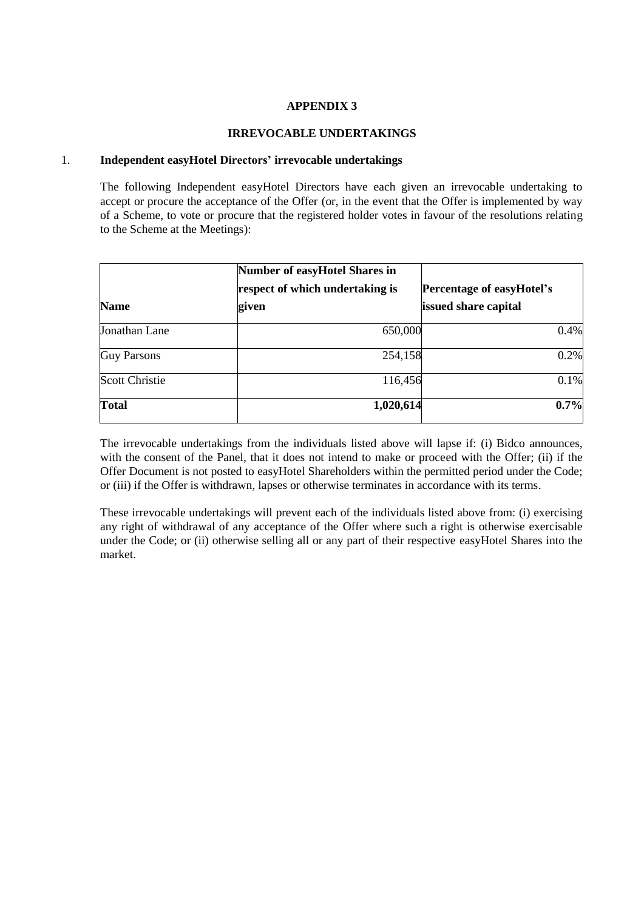# **IRREVOCABLE UNDERTAKINGS**

#### <span id="page-39-0"></span>1. **Independent easyHotel Directors' irrevocable undertakings**

The following Independent easyHotel Directors have each given an irrevocable undertaking to accept or procure the acceptance of the Offer (or, in the event that the Offer is implemented by way of a Scheme, to vote or procure that the registered holder votes in favour of the resolutions relating to the Scheme at the Meetings):

| <b>Name</b>           | <b>Number of easyHotel Shares in</b><br>respect of which undertaking is<br>given | <b>Percentage of easyHotel's</b><br>issued share capital |
|-----------------------|----------------------------------------------------------------------------------|----------------------------------------------------------|
| Jonathan Lane         | 650,000                                                                          | 0.4%                                                     |
| <b>Guy Parsons</b>    | 254,158                                                                          | 0.2%                                                     |
| <b>Scott Christie</b> | 116,456                                                                          | 0.1%                                                     |
| Total                 | 1,020,614                                                                        | 0.7%                                                     |

The irrevocable undertakings from the individuals listed above will lapse if: (i) Bidco announces, with the consent of the Panel, that it does not intend to make or proceed with the Offer; (ii) if the Offer Document is not posted to easyHotel Shareholders within the permitted period under the Code; or (iii) if the Offer is withdrawn, lapses or otherwise terminates in accordance with its terms.

These irrevocable undertakings will prevent each of the individuals listed above from: (i) exercising any right of withdrawal of any acceptance of the Offer where such a right is otherwise exercisable under the Code; or (ii) otherwise selling all or any part of their respective easyHotel Shares into the market.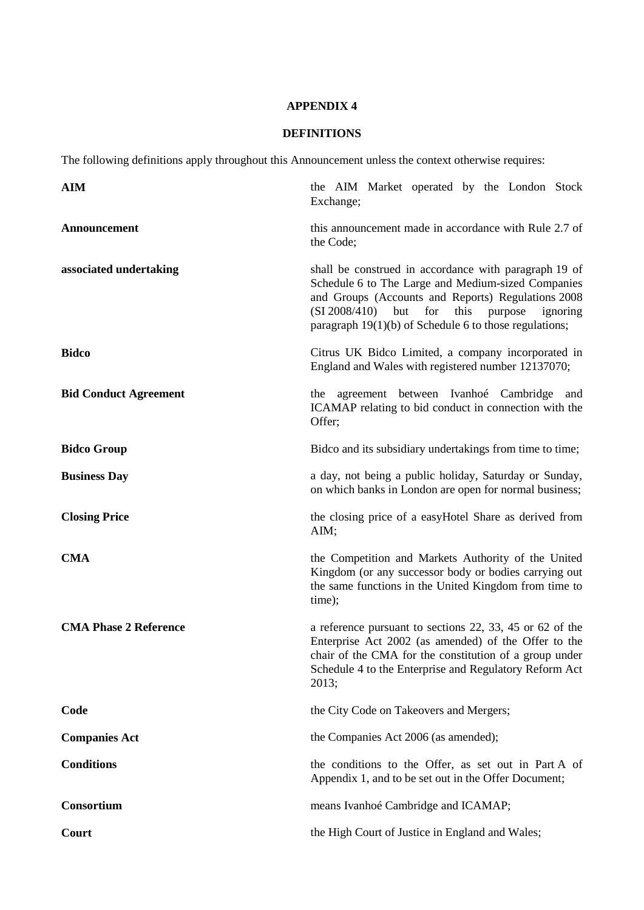# **DEFINITIONS**

<span id="page-40-0"></span>The following definitions apply throughout this Announcement unless the context otherwise requires:

| <b>AIM</b>                   | the AIM Market operated by the London Stock<br>Exchange;                                                                                                                                                                                                                                    |
|------------------------------|---------------------------------------------------------------------------------------------------------------------------------------------------------------------------------------------------------------------------------------------------------------------------------------------|
| Announcement                 | this announcement made in accordance with Rule 2.7 of<br>the Code;                                                                                                                                                                                                                          |
| associated undertaking       | shall be construed in accordance with paragraph 19 of<br>Schedule 6 to The Large and Medium-sized Companies<br>and Groups (Accounts and Reports) Regulations 2008<br>(SI 2008/410)<br>but<br>for<br>this<br>purpose<br>ignoring<br>paragraph $19(1)(b)$ of Schedule 6 to those regulations; |
| <b>Bidco</b>                 | Citrus UK Bidco Limited, a company incorporated in<br>England and Wales with registered number 12137070;                                                                                                                                                                                    |
| <b>Bid Conduct Agreement</b> | the agreement between Ivanhoé Cambridge<br>and<br>ICAMAP relating to bid conduct in connection with the<br>Offer;                                                                                                                                                                           |
| <b>Bidco Group</b>           | Bidco and its subsidiary undertakings from time to time;                                                                                                                                                                                                                                    |
| <b>Business Day</b>          | a day, not being a public holiday, Saturday or Sunday,<br>on which banks in London are open for normal business;                                                                                                                                                                            |
| <b>Closing Price</b>         | the closing price of a easyHotel Share as derived from<br>AIM;                                                                                                                                                                                                                              |
| <b>CMA</b>                   | the Competition and Markets Authority of the United<br>Kingdom (or any successor body or bodies carrying out<br>the same functions in the United Kingdom from time to<br>time);                                                                                                             |
| <b>CMA Phase 2 Reference</b> | a reference pursuant to sections 22, 33, 45 or 62 of the<br>Enterprise Act 2002 (as amended) of the Offer to the<br>chair of the CMA for the constitution of a group under<br>Schedule 4 to the Enterprise and Regulatory Reform Act<br>2013;                                               |
| Code                         | the City Code on Takeovers and Mergers;                                                                                                                                                                                                                                                     |
| <b>Companies Act</b>         | the Companies Act 2006 (as amended);                                                                                                                                                                                                                                                        |
| <b>Conditions</b>            | the conditions to the Offer, as set out in Part A of<br>Appendix 1, and to be set out in the Offer Document;                                                                                                                                                                                |
| <b>Consortium</b>            | means Ivanhoé Cambridge and ICAMAP;                                                                                                                                                                                                                                                         |
| Court                        | the High Court of Justice in England and Wales;                                                                                                                                                                                                                                             |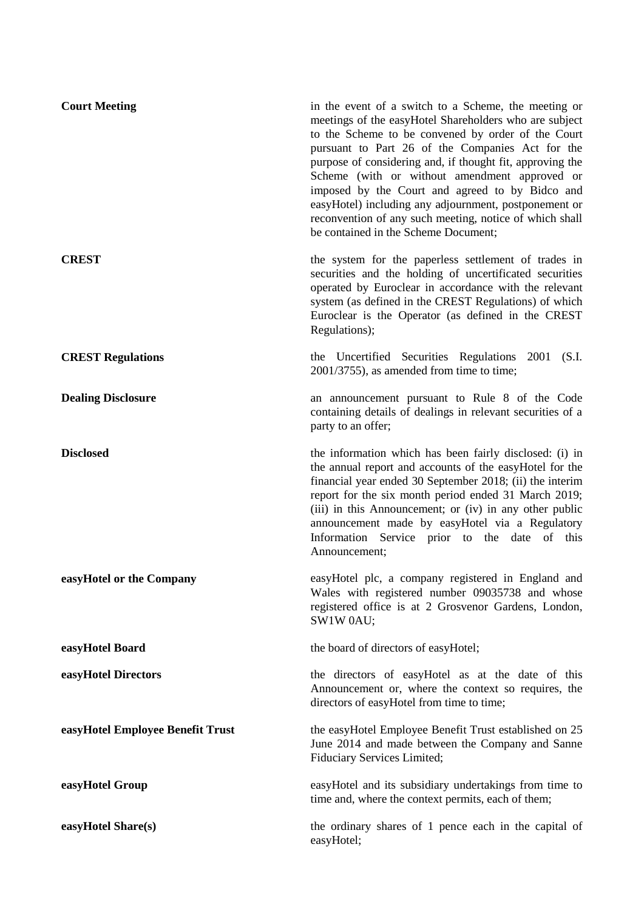| <b>Court Meeting</b>             | in the event of a switch to a Scheme, the meeting or<br>meetings of the easyHotel Shareholders who are subject<br>to the Scheme to be convened by order of the Court<br>pursuant to Part 26 of the Companies Act for the<br>purpose of considering and, if thought fit, approving the<br>Scheme (with or without amendment approved or<br>imposed by the Court and agreed to by Bidco and<br>easyHotel) including any adjournment, postponement or<br>reconvention of any such meeting, notice of which shall<br>be contained in the Scheme Document; |
|----------------------------------|-------------------------------------------------------------------------------------------------------------------------------------------------------------------------------------------------------------------------------------------------------------------------------------------------------------------------------------------------------------------------------------------------------------------------------------------------------------------------------------------------------------------------------------------------------|
| <b>CREST</b>                     | the system for the paperless settlement of trades in<br>securities and the holding of uncertificated securities<br>operated by Euroclear in accordance with the relevant<br>system (as defined in the CREST Regulations) of which<br>Euroclear is the Operator (as defined in the CREST<br>Regulations);                                                                                                                                                                                                                                              |
| <b>CREST Regulations</b>         | the Uncertified Securities Regulations 2001 (S.I.<br>2001/3755), as amended from time to time;                                                                                                                                                                                                                                                                                                                                                                                                                                                        |
| <b>Dealing Disclosure</b>        | an announcement pursuant to Rule 8 of the Code<br>containing details of dealings in relevant securities of a<br>party to an offer;                                                                                                                                                                                                                                                                                                                                                                                                                    |
| <b>Disclosed</b>                 | the information which has been fairly disclosed: (i) in<br>the annual report and accounts of the easyHotel for the<br>financial year ended 30 September 2018; (ii) the interim<br>report for the six month period ended 31 March 2019;<br>(iii) in this Announcement; or (iv) in any other public<br>announcement made by easyHotel via a Regulatory<br>Information Service prior to the date of this<br>Announcement;                                                                                                                                |
| easyHotel or the Company         | easyHotel plc, a company registered in England and<br>Wales with registered number 09035738 and whose<br>registered office is at 2 Grosvenor Gardens, London,<br>SW1W 0AU;                                                                                                                                                                                                                                                                                                                                                                            |
| easyHotel Board                  | the board of directors of easyHotel;                                                                                                                                                                                                                                                                                                                                                                                                                                                                                                                  |
| easyHotel Directors              | the directors of easyHotel as at the date of this<br>Announcement or, where the context so requires, the<br>directors of easyHotel from time to time;                                                                                                                                                                                                                                                                                                                                                                                                 |
| easyHotel Employee Benefit Trust | the easyHotel Employee Benefit Trust established on 25<br>June 2014 and made between the Company and Sanne<br>Fiduciary Services Limited;                                                                                                                                                                                                                                                                                                                                                                                                             |
| easyHotel Group                  | easyHotel and its subsidiary undertakings from time to<br>time and, where the context permits, each of them;                                                                                                                                                                                                                                                                                                                                                                                                                                          |
| easyHotel Share(s)               | the ordinary shares of 1 pence each in the capital of<br>easyHotel;                                                                                                                                                                                                                                                                                                                                                                                                                                                                                   |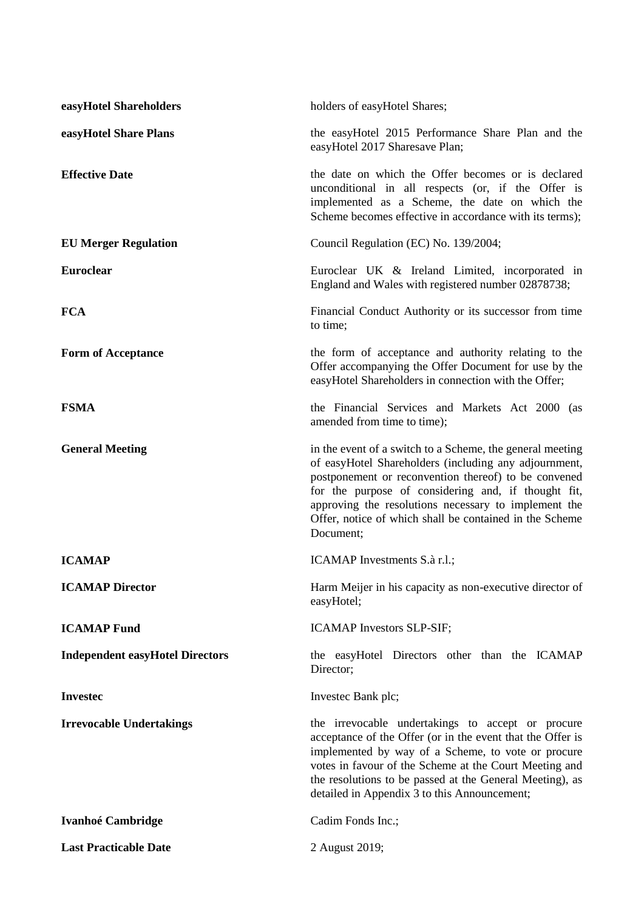| easyHotel Shareholders                 | holders of easyHotel Shares;                                                                                                                                                                                                                                                                                                                                      |
|----------------------------------------|-------------------------------------------------------------------------------------------------------------------------------------------------------------------------------------------------------------------------------------------------------------------------------------------------------------------------------------------------------------------|
| easyHotel Share Plans                  | the easyHotel 2015 Performance Share Plan and the<br>easyHotel 2017 Sharesave Plan;                                                                                                                                                                                                                                                                               |
| <b>Effective Date</b>                  | the date on which the Offer becomes or is declared<br>unconditional in all respects (or, if the Offer is<br>implemented as a Scheme, the date on which the<br>Scheme becomes effective in accordance with its terms);                                                                                                                                             |
| <b>EU Merger Regulation</b>            | Council Regulation (EC) No. 139/2004;                                                                                                                                                                                                                                                                                                                             |
| Euroclear                              | Euroclear UK & Ireland Limited, incorporated in<br>England and Wales with registered number 02878738;                                                                                                                                                                                                                                                             |
| <b>FCA</b>                             | Financial Conduct Authority or its successor from time<br>to time;                                                                                                                                                                                                                                                                                                |
| <b>Form of Acceptance</b>              | the form of acceptance and authority relating to the<br>Offer accompanying the Offer Document for use by the<br>easyHotel Shareholders in connection with the Offer;                                                                                                                                                                                              |
| <b>FSMA</b>                            | the Financial Services and Markets Act 2000 (as<br>amended from time to time);                                                                                                                                                                                                                                                                                    |
| <b>General Meeting</b>                 | in the event of a switch to a Scheme, the general meeting<br>of easyHotel Shareholders (including any adjournment,<br>postponement or reconvention thereof) to be convened<br>for the purpose of considering and, if thought fit,<br>approving the resolutions necessary to implement the<br>Offer, notice of which shall be contained in the Scheme<br>Document; |
| <b>ICAMAP</b>                          | ICAMAP Investments S.à r.l.;                                                                                                                                                                                                                                                                                                                                      |
| <b>ICAMAP Director</b>                 | Harm Meijer in his capacity as non-executive director of<br>easyHotel;                                                                                                                                                                                                                                                                                            |
| <b>ICAMAP Fund</b>                     | ICAMAP Investors SLP-SIF;                                                                                                                                                                                                                                                                                                                                         |
| <b>Independent easyHotel Directors</b> | the easyHotel Directors other than the ICAMAP<br>Director;                                                                                                                                                                                                                                                                                                        |
| <b>Investec</b>                        | Invested Bank plc;                                                                                                                                                                                                                                                                                                                                                |
| <b>Irrevocable Undertakings</b>        | the irrevocable undertakings to accept or procure<br>acceptance of the Offer (or in the event that the Offer is<br>implemented by way of a Scheme, to vote or procure<br>votes in favour of the Scheme at the Court Meeting and<br>the resolutions to be passed at the General Meeting), as<br>detailed in Appendix 3 to this Announcement;                       |
| <b>Ivanhoé Cambridge</b>               | Cadim Fonds Inc.;                                                                                                                                                                                                                                                                                                                                                 |
| <b>Last Practicable Date</b>           | 2 August 2019;                                                                                                                                                                                                                                                                                                                                                    |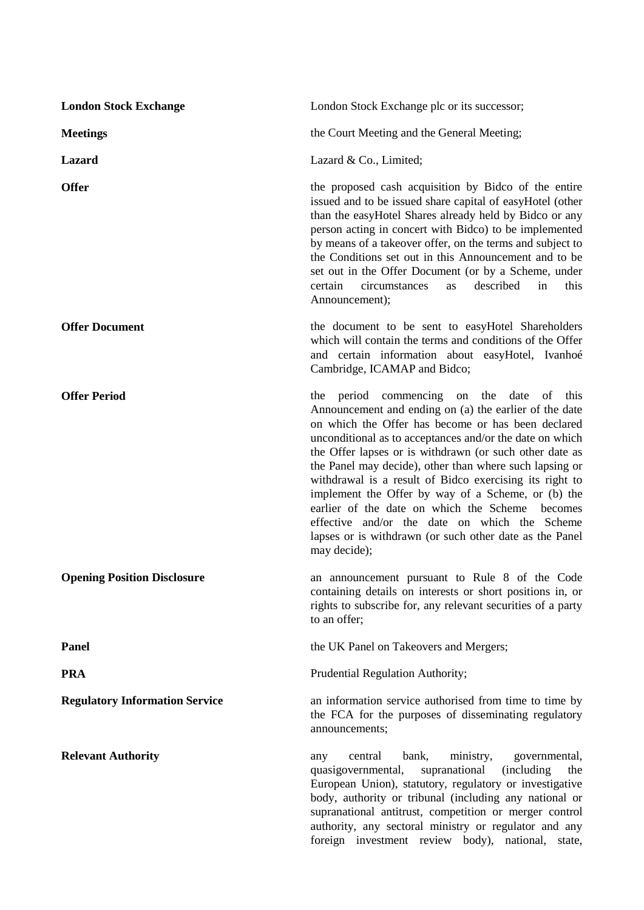| <b>London Stock Exchange</b>          | London Stock Exchange plc or its successor;                                                                                                                                                                                                                                                                                                                                                                                                                                                                                                                                                                                                                      |
|---------------------------------------|------------------------------------------------------------------------------------------------------------------------------------------------------------------------------------------------------------------------------------------------------------------------------------------------------------------------------------------------------------------------------------------------------------------------------------------------------------------------------------------------------------------------------------------------------------------------------------------------------------------------------------------------------------------|
| <b>Meetings</b>                       | the Court Meeting and the General Meeting;                                                                                                                                                                                                                                                                                                                                                                                                                                                                                                                                                                                                                       |
| <b>Lazard</b>                         | Lazard & Co., Limited;                                                                                                                                                                                                                                                                                                                                                                                                                                                                                                                                                                                                                                           |
| <b>Offer</b>                          | the proposed cash acquisition by Bidco of the entire<br>issued and to be issued share capital of easyHotel (other<br>than the easyHotel Shares already held by Bidco or any<br>person acting in concert with Bidco) to be implemented<br>by means of a takeover offer, on the terms and subject to<br>the Conditions set out in this Announcement and to be<br>set out in the Offer Document (or by a Scheme, under<br>described<br>in<br>certain<br>circumstances<br>this<br>as<br>Announcement);                                                                                                                                                               |
| <b>Offer Document</b>                 | the document to be sent to easyHotel Shareholders<br>which will contain the terms and conditions of the Offer<br>and certain information about easyHotel, Ivanhoé<br>Cambridge, ICAMAP and Bidco;                                                                                                                                                                                                                                                                                                                                                                                                                                                                |
| <b>Offer Period</b>                   | period<br>commencing<br>the<br>date<br>of this<br>the<br>on<br>Announcement and ending on (a) the earlier of the date<br>on which the Offer has become or has been declared<br>unconditional as to acceptances and/or the date on which<br>the Offer lapses or is withdrawn (or such other date as<br>the Panel may decide), other than where such lapsing or<br>withdrawal is a result of Bidco exercising its right to<br>implement the Offer by way of a Scheme, or (b) the<br>earlier of the date on which the Scheme<br>becomes<br>effective and/or the date on which the Scheme<br>lapses or is withdrawn (or such other date as the Panel<br>may decide); |
| <b>Opening Position Disclosure</b>    | an announcement pursuant to Rule 8 of the Code<br>containing details on interests or short positions in, or<br>rights to subscribe for, any relevant securities of a party<br>to an offer;                                                                                                                                                                                                                                                                                                                                                                                                                                                                       |
| Panel                                 | the UK Panel on Takeovers and Mergers;                                                                                                                                                                                                                                                                                                                                                                                                                                                                                                                                                                                                                           |
| <b>PRA</b>                            | Prudential Regulation Authority;                                                                                                                                                                                                                                                                                                                                                                                                                                                                                                                                                                                                                                 |
| <b>Regulatory Information Service</b> | an information service authorised from time to time by<br>the FCA for the purposes of disseminating regulatory<br>announcements;                                                                                                                                                                                                                                                                                                                                                                                                                                                                                                                                 |
| <b>Relevant Authority</b>             | central<br>bank,<br>ministry,<br>governmental,<br>any<br>supranational<br><i>(including)</i><br>quasigovernmental,<br>the<br>European Union), statutory, regulatory or investigative<br>body, authority or tribunal (including any national or<br>supranational antitrust, competition or merger control<br>authority, any sectoral ministry or regulator and any<br>foreign investment review body), national,<br>state,                                                                                                                                                                                                                                        |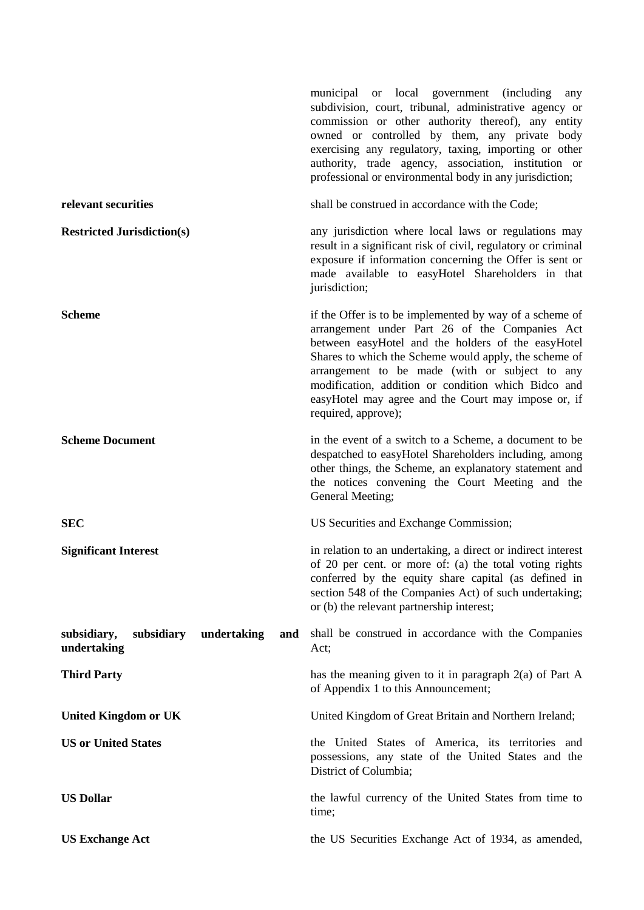|                                                                | municipal or local government (including<br>any<br>subdivision, court, tribunal, administrative agency or<br>commission or other authority thereof), any entity<br>owned or controlled by them, any private body<br>exercising any regulatory, taxing, importing or other<br>authority, trade agency, association, institution or<br>professional or environmental body in any jurisdiction;                    |
|----------------------------------------------------------------|-----------------------------------------------------------------------------------------------------------------------------------------------------------------------------------------------------------------------------------------------------------------------------------------------------------------------------------------------------------------------------------------------------------------|
| relevant securities                                            | shall be construed in accordance with the Code;                                                                                                                                                                                                                                                                                                                                                                 |
| <b>Restricted Jurisdiction(s)</b>                              | any jurisdiction where local laws or regulations may<br>result in a significant risk of civil, regulatory or criminal<br>exposure if information concerning the Offer is sent or<br>made available to easyHotel Shareholders in that<br>jurisdiction;                                                                                                                                                           |
| <b>Scheme</b>                                                  | if the Offer is to be implemented by way of a scheme of<br>arrangement under Part 26 of the Companies Act<br>between easyHotel and the holders of the easyHotel<br>Shares to which the Scheme would apply, the scheme of<br>arrangement to be made (with or subject to any<br>modification, addition or condition which Bidco and<br>easyHotel may agree and the Court may impose or, if<br>required, approve); |
| <b>Scheme Document</b>                                         | in the event of a switch to a Scheme, a document to be<br>despatched to easyHotel Shareholders including, among<br>other things, the Scheme, an explanatory statement and<br>the notices convening the Court Meeting and the<br>General Meeting;                                                                                                                                                                |
| <b>SEC</b>                                                     | US Securities and Exchange Commission;                                                                                                                                                                                                                                                                                                                                                                          |
| <b>Significant Interest</b>                                    | in relation to an undertaking, a direct or indirect interest<br>of 20 per cent. or more of: (a) the total voting rights<br>conferred by the equity share capital (as defined in<br>section 548 of the Companies Act) of such undertaking;<br>or (b) the relevant partnership interest;                                                                                                                          |
| subsidiary,<br>subsidiary<br>undertaking<br>and<br>undertaking | shall be construed in accordance with the Companies<br>Act;                                                                                                                                                                                                                                                                                                                                                     |
| <b>Third Party</b>                                             | has the meaning given to it in paragraph $2(a)$ of Part A<br>of Appendix 1 to this Announcement;                                                                                                                                                                                                                                                                                                                |
| <b>United Kingdom or UK</b>                                    | United Kingdom of Great Britain and Northern Ireland;                                                                                                                                                                                                                                                                                                                                                           |
| <b>US or United States</b>                                     | the United States of America, its territories and<br>possessions, any state of the United States and the<br>District of Columbia;                                                                                                                                                                                                                                                                               |
| <b>US Dollar</b>                                               | the lawful currency of the United States from time to<br>time;                                                                                                                                                                                                                                                                                                                                                  |
| <b>US Exchange Act</b>                                         | the US Securities Exchange Act of 1934, as amended,                                                                                                                                                                                                                                                                                                                                                             |